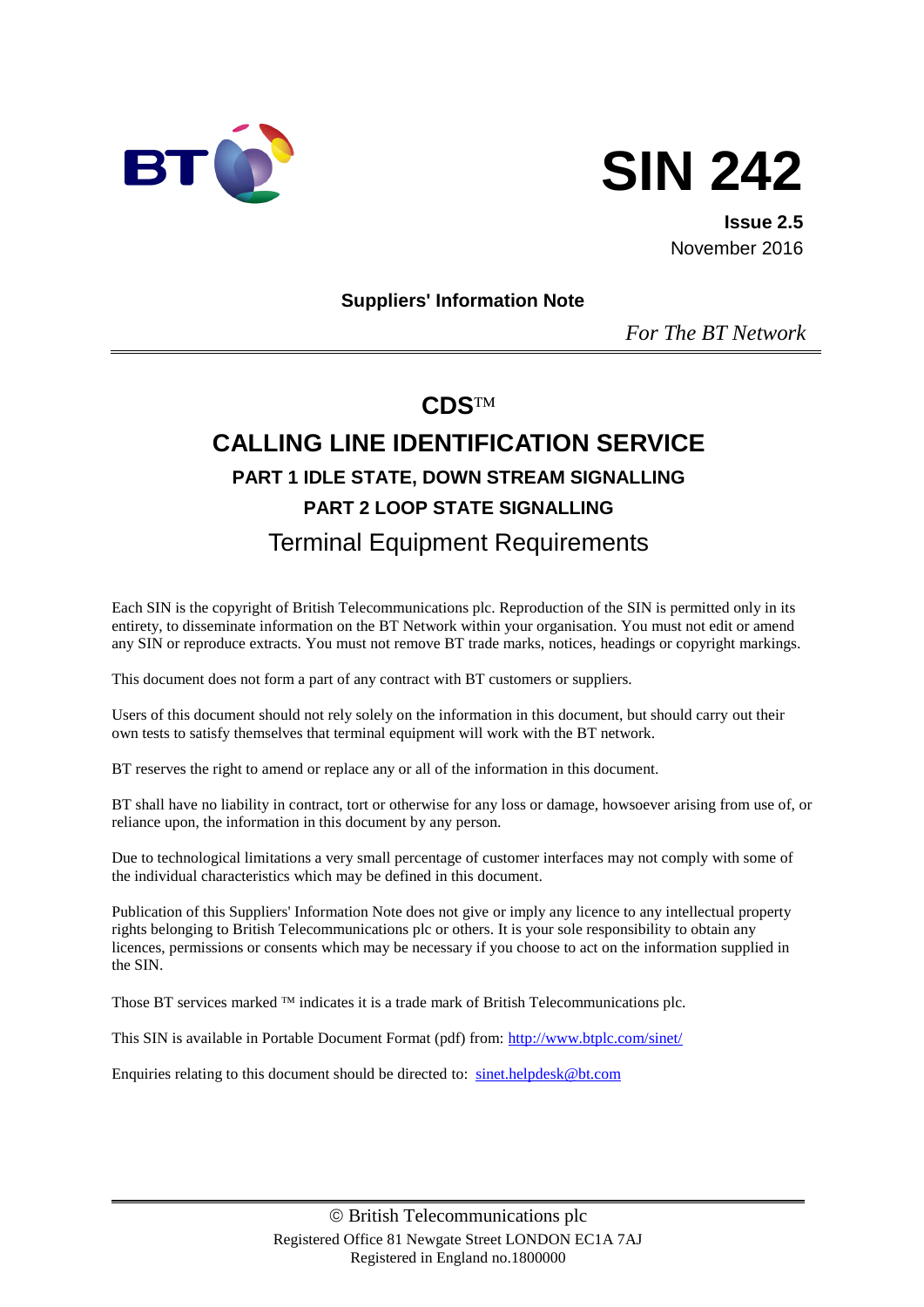



**Issue 2.5** November 2016

#### **Suppliers' Information Note**

*For The BT Network*

## **CDS**

# **CALLING LINE IDENTIFICATION SERVICE PART 1 IDLE STATE, DOWN STREAM SIGNALLING PART 2 LOOP STATE SIGNALLING** Terminal Equipment Requirements

Each SIN is the copyright of British Telecommunications plc. Reproduction of the SIN is permitted only in its entirety, to disseminate information on the BT Network within your organisation. You must not edit or amend any SIN or reproduce extracts. You must not remove BT trade marks, notices, headings or copyright markings.

This document does not form a part of any contract with BT customers or suppliers.

Users of this document should not rely solely on the information in this document, but should carry out their own tests to satisfy themselves that terminal equipment will work with the BT network.

BT reserves the right to amend or replace any or all of the information in this document.

BT shall have no liability in contract, tort or otherwise for any loss or damage, howsoever arising from use of, or reliance upon, the information in this document by any person.

Due to technological limitations a very small percentage of customer interfaces may not comply with some of the individual characteristics which may be defined in this document.

Publication of this Suppliers' Information Note does not give or imply any licence to any intellectual property rights belonging to British Telecommunications plc or others. It is your sole responsibility to obtain any licences, permissions or consents which may be necessary if you choose to act on the information supplied in the SIN.

Those BT services marked  $TM$  indicates it is a trade mark of British Telecommunications plc.

This SIN is available in Portable Document Format (pdf) from:<http://www.btplc.com/sinet/>

Enquiries relating to this document should be directed to: [sinet.helpdesk@bt.com](mailto:sinet.helpdesk@bt.com)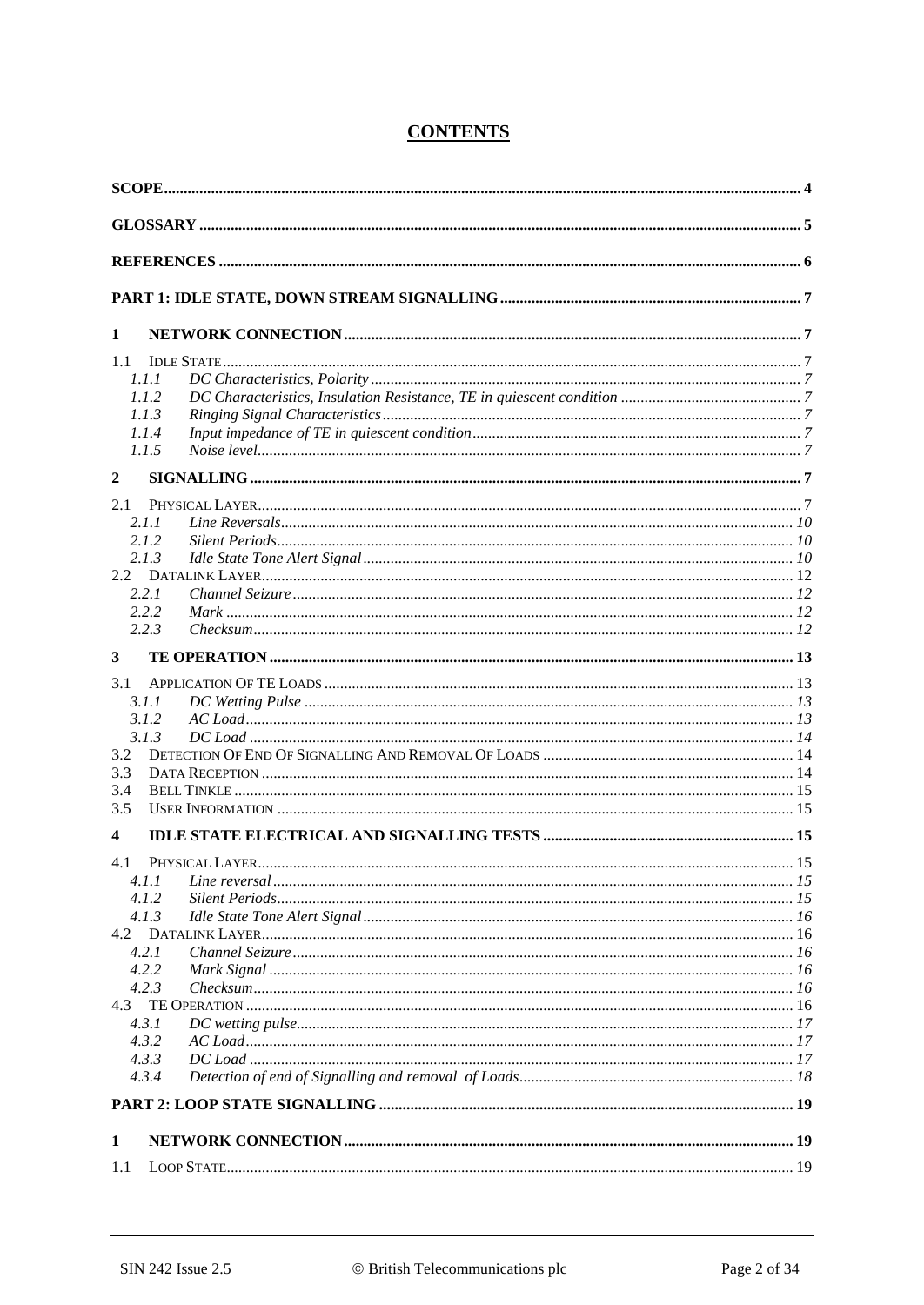| 1              |  |
|----------------|--|
| 1.1            |  |
| 1.1.1          |  |
| 1.1.2          |  |
| 1.1.3          |  |
| 1.1.4          |  |
| 1.1.5          |  |
| $\overline{2}$ |  |
| 2.1            |  |
| 2.1.1          |  |
| 2.1.2          |  |
| 2.1.3          |  |
|                |  |
| 2.2.1          |  |
| 2.2.2<br>2.2.3 |  |
|                |  |
| 3              |  |
| 3.1            |  |
| 3.1.1          |  |
| 3.1.2          |  |
| 3.1.3          |  |
| 3.2            |  |
| 3.3            |  |
| 3.4            |  |
| 3.5            |  |
| 4              |  |
| 4.1            |  |
| 4.I.I          |  |
| 4.1.2          |  |
| 4.1.3          |  |
|                |  |
| 4.2.1          |  |
| 4.2.2<br>4.2.3 |  |
|                |  |
| 4.3.1          |  |
| 4.3.2          |  |
| 4.3.3          |  |
| 4.3.4          |  |
|                |  |
| 1              |  |
| 1.1            |  |
|                |  |

### **CONTENTS**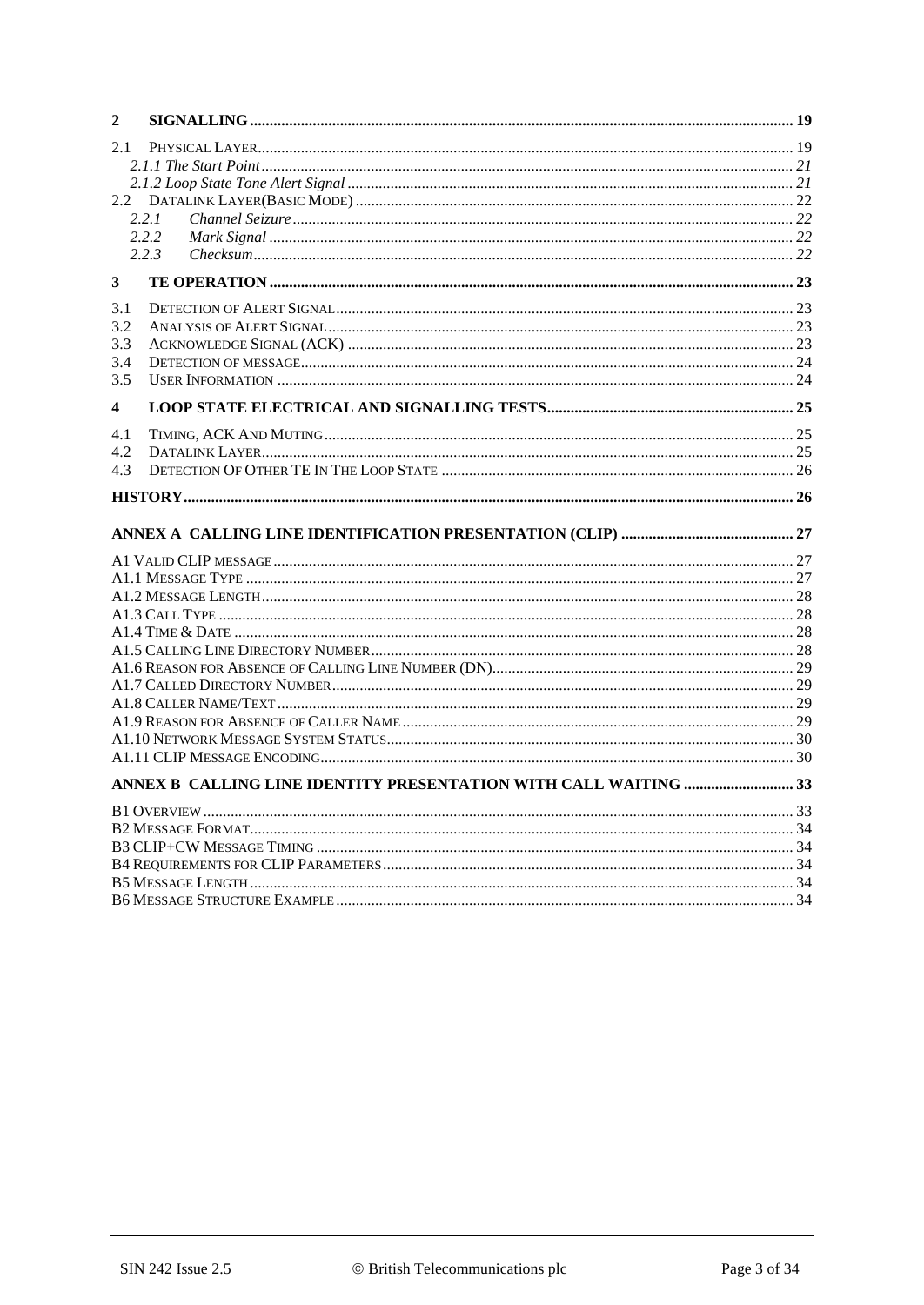| 2            |       |  |
|--------------|-------|--|
| 2.1          |       |  |
|              |       |  |
|              |       |  |
| 2.2          |       |  |
|              | 2.2.1 |  |
|              | 2.2.2 |  |
|              | 2.2.3 |  |
| $\mathbf{3}$ |       |  |
| 3.1          |       |  |
| 3.2          |       |  |
| 3.3          |       |  |
| 3.4          |       |  |
| 3.5          |       |  |
| 4            |       |  |
| 4.1          |       |  |
| 4.2          |       |  |
| 4.3          |       |  |
|              |       |  |
|              |       |  |
|              |       |  |
|              |       |  |
|              |       |  |
|              |       |  |
|              |       |  |
|              |       |  |
|              |       |  |
|              |       |  |
|              |       |  |
|              |       |  |
|              |       |  |
|              |       |  |
|              |       |  |
|              |       |  |
|              |       |  |
|              |       |  |
|              |       |  |
|              |       |  |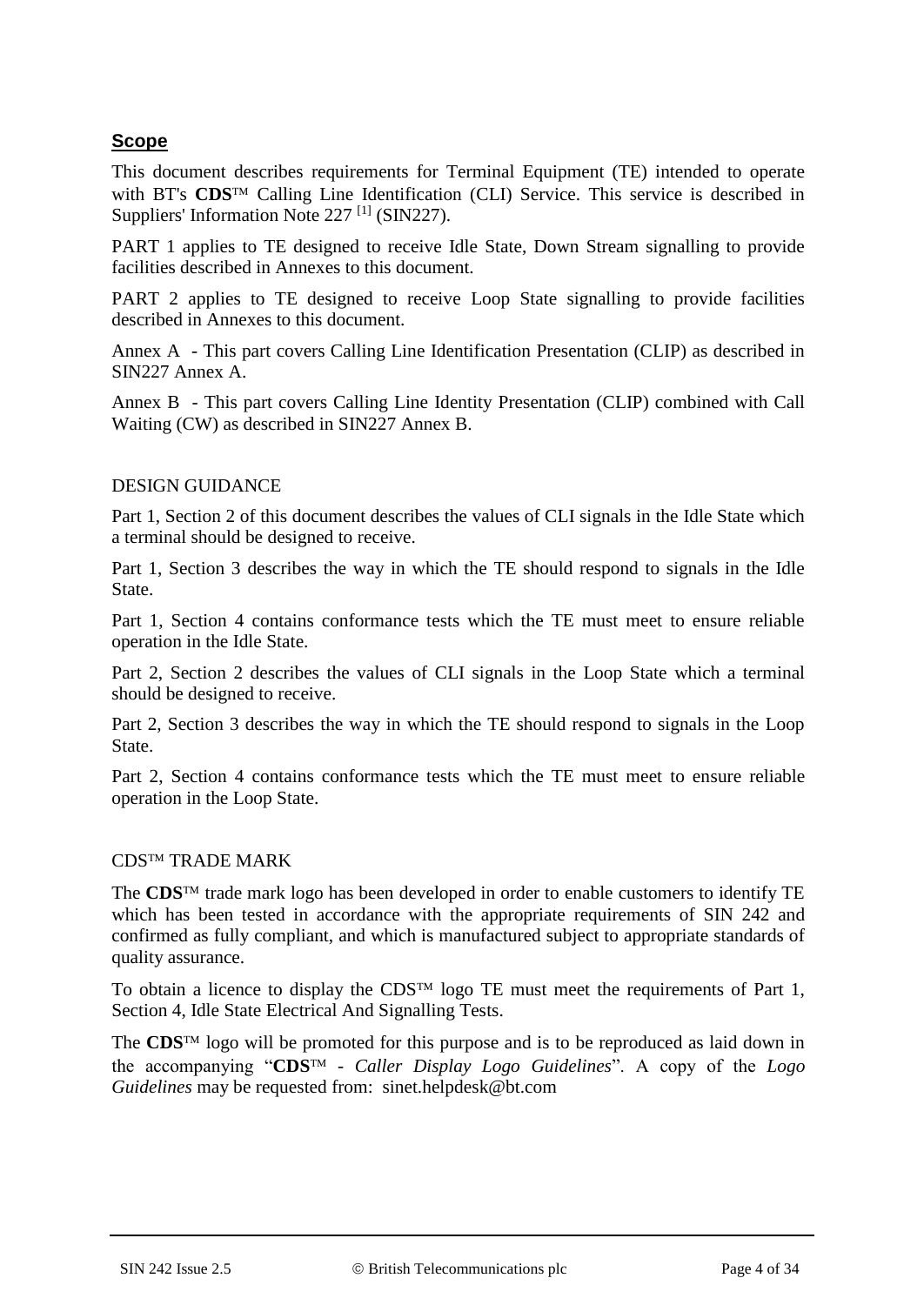## **Scope**

This document describes requirements for Terminal Equipment (TE) intended to operate with BT's CDS<sup>TM</sup> Calling Line Identification (CLI) Service. This service is described in Suppliers' Information Note 227<sup>[1]</sup> (SIN227).

PART 1 applies to TE designed to receive Idle State, Down Stream signalling to provide facilities described in Annexes to this document.

PART 2 applies to TE designed to receive Loop State signalling to provide facilities described in Annexes to this document.

Annex A - This part covers Calling Line Identification Presentation (CLIP) as described in SIN227 Annex A.

Annex B - This part covers Calling Line Identity Presentation (CLIP) combined with Call Waiting (CW) as described in SIN227 Annex B.

#### DESIGN GUIDANCE

Part 1, Section 2 of this document describes the values of CLI signals in the Idle State which a terminal should be designed to receive.

Part 1, Section 3 describes the way in which the TE should respond to signals in the Idle State.

Part 1, Section 4 contains conformance tests which the TE must meet to ensure reliable operation in the Idle State.

Part 2, Section 2 describes the values of CLI signals in the Loop State which a terminal should be designed to receive.

Part 2, Section 3 describes the way in which the TE should respond to signals in the Loop State.

Part 2, Section 4 contains conformance tests which the TE must meet to ensure reliable operation in the Loop State.

#### **CDSTM TRADE MARK**

The **CDS**<sup>TM</sup> trade mark logo has been developed in order to enable customers to identify TE which has been tested in accordance with the appropriate requirements of SIN 242 and confirmed as fully compliant, and which is manufactured subject to appropriate standards of quality assurance.

To obtain a licence to display the CDS<sup>TM</sup> logo TE must meet the requirements of Part 1, Section 4, Idle State Electrical And Signalling Tests.

The  $CDS<sup>TM</sup>$  logo will be promoted for this purpose and is to be reproduced as laid down in the accompanying "CDS<sup>TM</sup> - *Caller Display Logo Guidelines*". A copy of the *Logo Guidelines* may be requested from: sinet.helpdesk@bt.com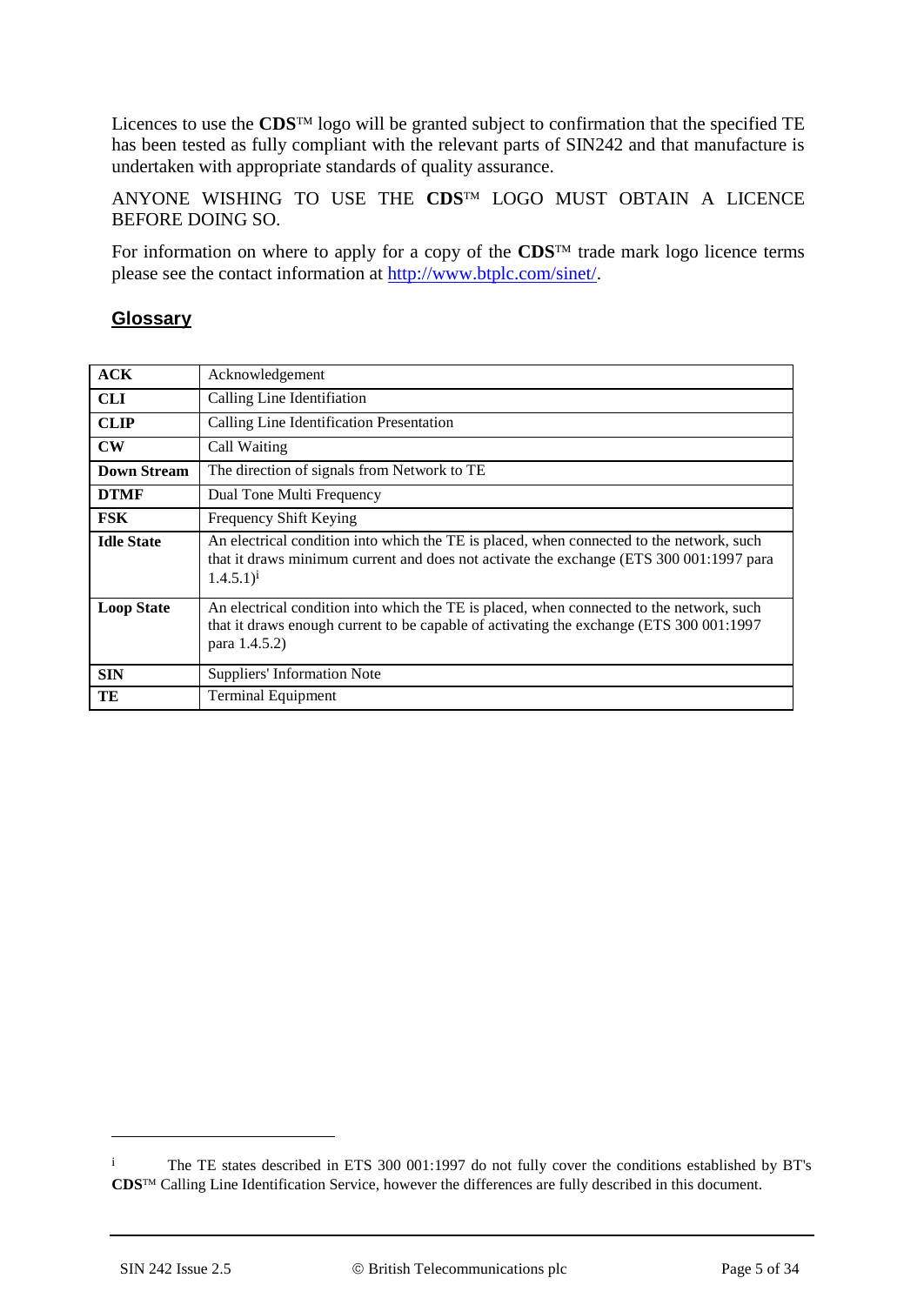Licences to use the  $CDS<sup>TM</sup>$  logo will be granted subject to confirmation that the specified TE has been tested as fully compliant with the relevant parts of SIN242 and that manufacture is undertaken with appropriate standards of quality assurance.

ANYONE WISHING TO USE THE CDS<sup>TM</sup> LOGO MUST OBTAIN A LICENCE BEFORE DOING SO.

For information on where to apply for a copy of the  $CDS<sup>TM</sup>$  trade mark logo licence terms please see the contact information at [http://www.btplc.com/sinet/.](http://www.btplc.com/sinet/)

#### **Glossary**

| ACK               | Acknowledgement                                                                                                                                                                                        |
|-------------------|--------------------------------------------------------------------------------------------------------------------------------------------------------------------------------------------------------|
| <b>CLI</b>        | Calling Line Identifiation                                                                                                                                                                             |
| <b>CLIP</b>       | Calling Line Identification Presentation                                                                                                                                                               |
| $\mathbf{CW}$     | Call Waiting                                                                                                                                                                                           |
| Down Stream       | The direction of signals from Network to TE                                                                                                                                                            |
| <b>DTMF</b>       | Dual Tone Multi Frequency                                                                                                                                                                              |
| <b>FSK</b>        | Frequency Shift Keying                                                                                                                                                                                 |
| <b>Idle State</b> | An electrical condition into which the TE is placed, when connected to the network, such<br>that it draws minimum current and does not activate the exchange (ETS 300 001:1997 para<br>$(1.4.5.1)^{i}$ |
| <b>Loop State</b> | An electrical condition into which the TE is placed, when connected to the network, such<br>that it draws enough current to be capable of activating the exchange (ETS 300 001:1997)<br>para 1.4.5.2)  |
| <b>SIN</b>        | <b>Suppliers' Information Note</b>                                                                                                                                                                     |
| TE                | <b>Terminal Equipment</b>                                                                                                                                                                              |

<u>.</u>

i The TE states described in ETS 300 001:1997 do not fully cover the conditions established by BT's CDS<sup>™</sup> Calling Line Identification Service, however the differences are fully described in this document.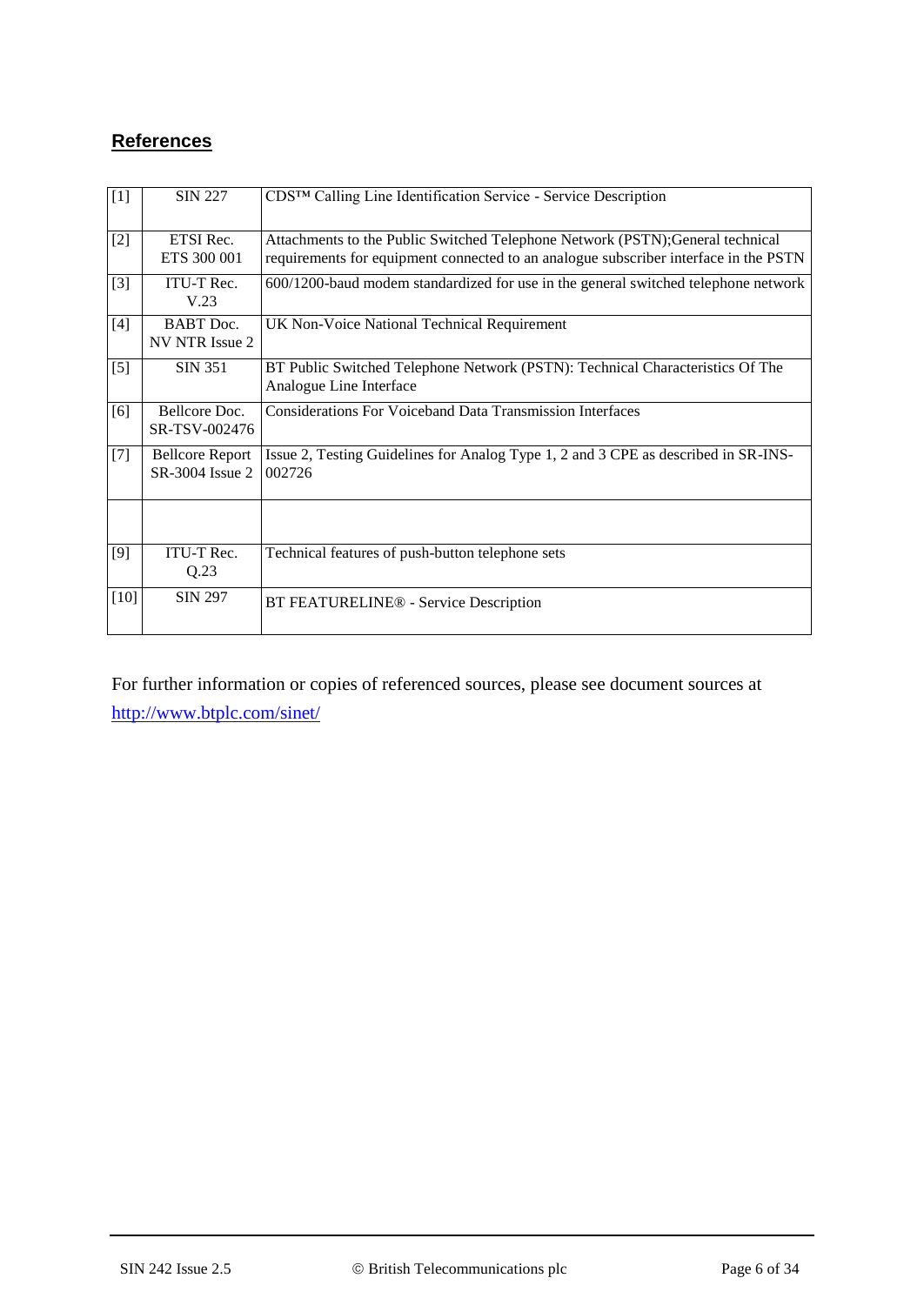## **References**

| $[1]$             | <b>SIN 227</b>                            | CDS™ Calling Line Identification Service - Service Description                                                                                                         |
|-------------------|-------------------------------------------|------------------------------------------------------------------------------------------------------------------------------------------------------------------------|
| $[2]$             | ETSI Rec.<br>ETS 300 001                  | Attachments to the Public Switched Telephone Network (PSTN); General technical<br>requirements for equipment connected to an analogue subscriber interface in the PSTN |
| $[3]$             | <b>ITU-T Rec.</b><br>V.23                 | 600/1200-baud modem standardized for use in the general switched telephone network                                                                                     |
| $[4]$             | <b>BABT</b> Doc.<br>NV NTR Issue 2        | UK Non-Voice National Technical Requirement                                                                                                                            |
| $\lceil 5 \rceil$ | <b>SIN 351</b>                            | BT Public Switched Telephone Network (PSTN): Technical Characteristics Of The<br>Analogue Line Interface                                                               |
| [6]               | Bellcore Doc.<br>SR-TSV-002476            | <b>Considerations For Voiceband Data Transmission Interfaces</b>                                                                                                       |
| $[7]$             | <b>Bellcore Report</b><br>SR-3004 Issue 2 | Issue 2, Testing Guidelines for Analog Type 1, 2 and 3 CPE as described in SR-INS-<br>002726                                                                           |
|                   |                                           |                                                                                                                                                                        |
| [9]               | ITU-T Rec.<br>Q.23                        | Technical features of push-button telephone sets                                                                                                                       |
| $[10]$            | <b>SIN 297</b>                            | BT FEATURELINE® - Service Description                                                                                                                                  |

For further information or copies of referenced sources, please see document sources at <http://www.btplc.com/sinet/>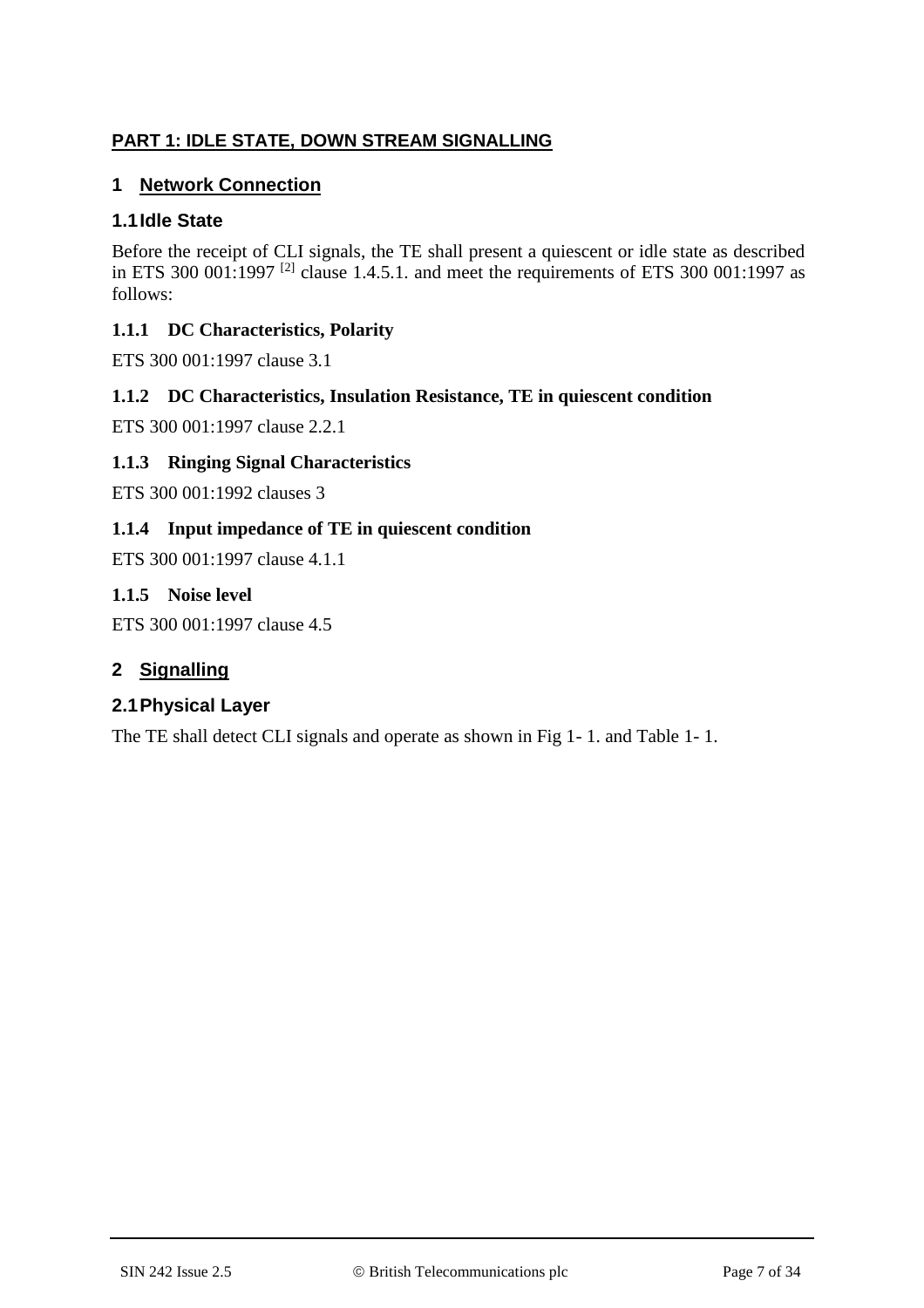## **PART 1: IDLE STATE, DOWN STREAM SIGNALLING**

### **1 Network Connection**

### **1.1Idle State**

Before the receipt of CLI signals, the TE shall present a quiescent or idle state as described in ETS 300 001:1997<sup>[2]</sup> clause 1.4.5.1. and meet the requirements of ETS 300 001:1997 as follows:

### **1.1.1 DC Characteristics, Polarity**

ETS 300 001:1997 clause 3.1

### **1.1.2 DC Characteristics, Insulation Resistance, TE in quiescent condition**

ETS 300 001:1997 clause 2.2.1

### **1.1.3 Ringing Signal Characteristics**

ETS 300 001:1992 clauses 3

### **1.1.4 Input impedance of TE in quiescent condition**

ETS 300 001:1997 clause 4.1.1

### **1.1.5 Noise level**

ETS 300 001:1997 clause 4.5

### **2 Signalling**

### **2.1Physical Layer**

The TE shall detect CLI signals and operate as shown in Fig 1- 1. and Table 1- 1.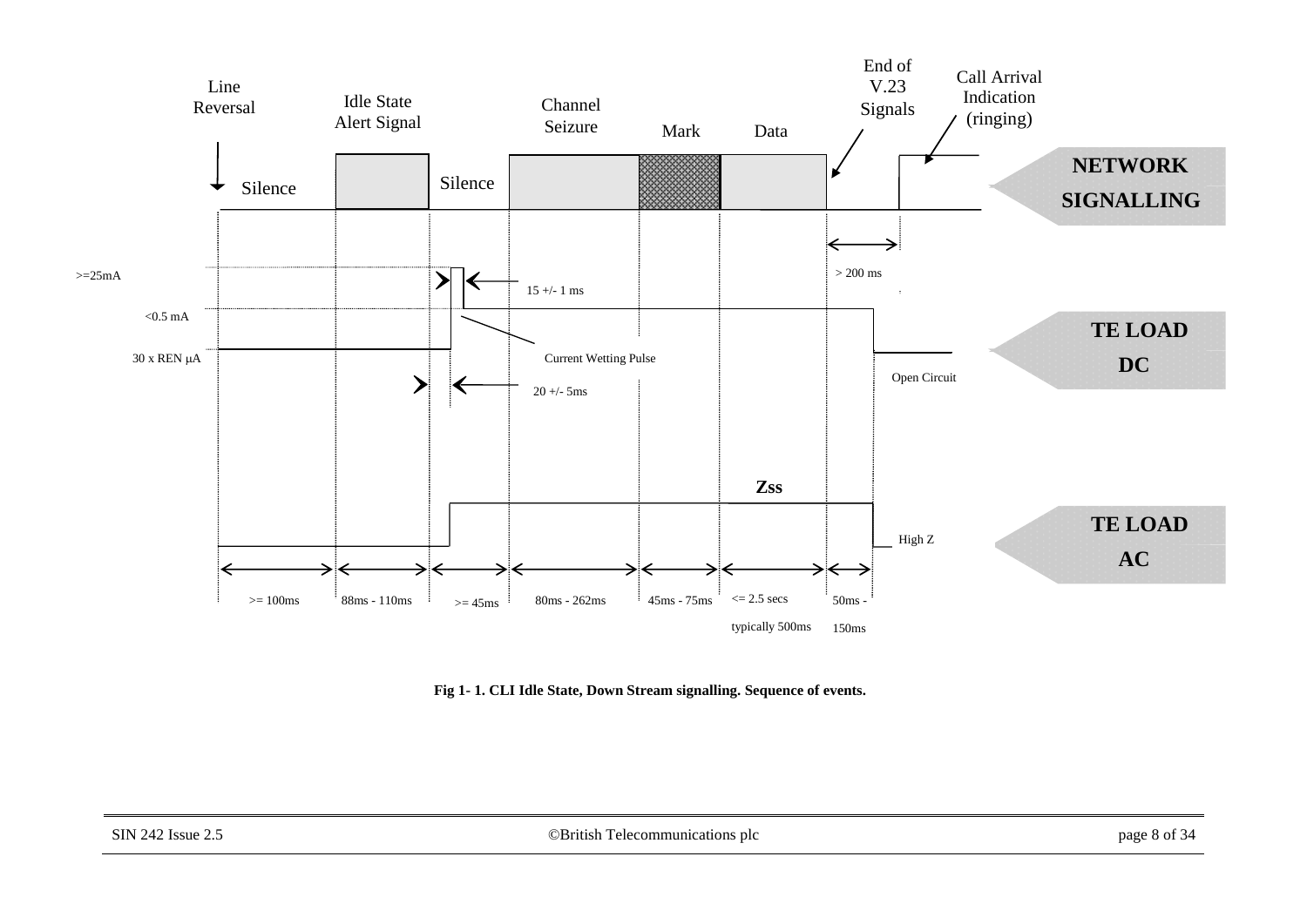

**Fig 1- 1. CLI Idle State, Down Stream signalling. Sequence of events.**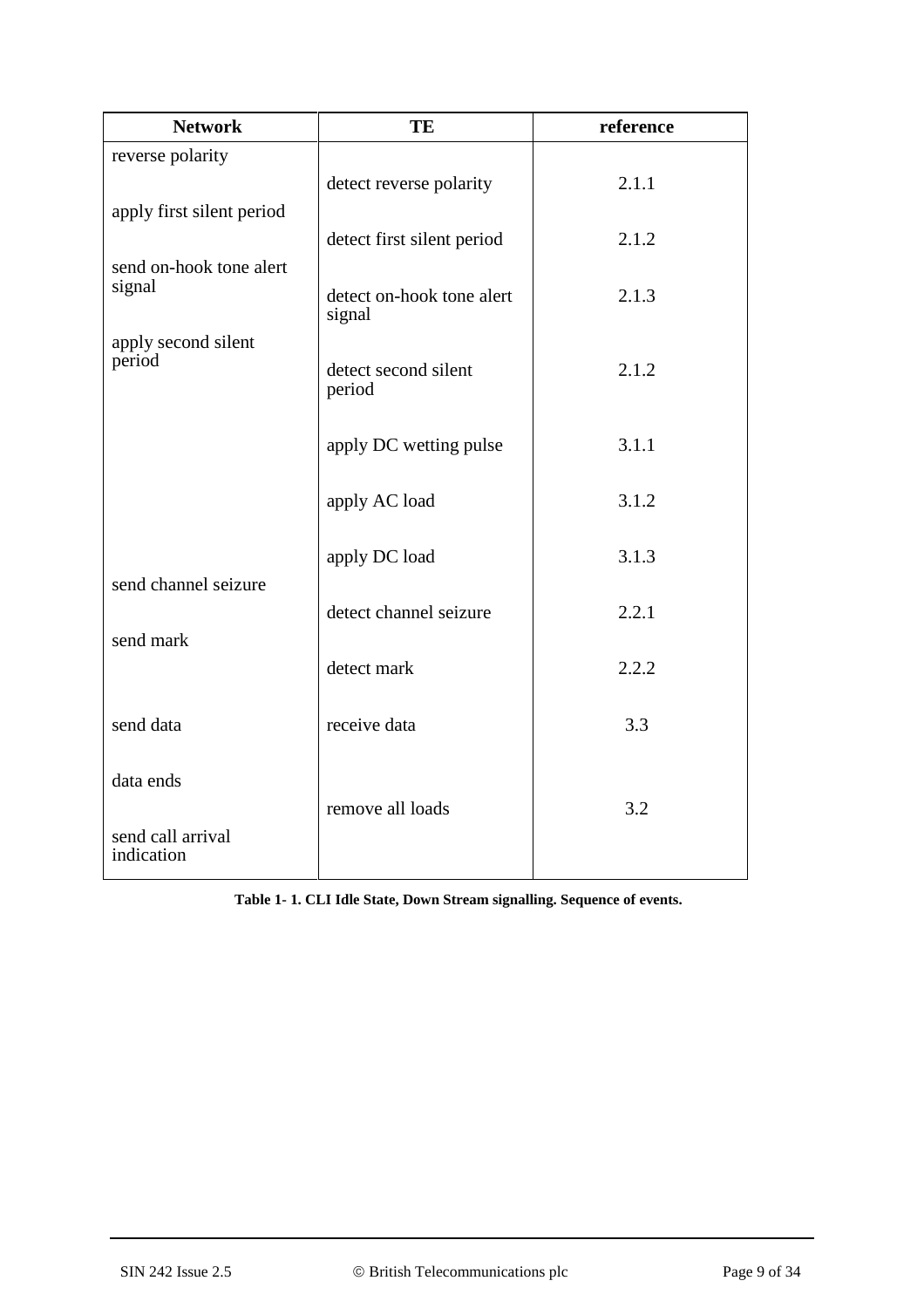| <b>Network</b>                    | TE                                  | reference |
|-----------------------------------|-------------------------------------|-----------|
| reverse polarity                  | detect reverse polarity             | 2.1.1     |
| apply first silent period         | detect first silent period          | 2.1.2     |
| send on-hook tone alert<br>signal | detect on-hook tone alert<br>signal | 2.1.3     |
| apply second silent<br>period     | detect second silent<br>period      | 2.1.2     |
|                                   | apply DC wetting pulse              | 3.1.1     |
|                                   | apply AC load                       | 3.1.2     |
| send channel seizure              | apply DC load                       | 3.1.3     |
| send mark                         | detect channel seizure              | 2.2.1     |
|                                   | detect mark                         | 2.2.2     |
| send data                         | receive data                        | 3.3       |
| data ends<br>send call arrival    | remove all loads                    | 3.2       |
| indication                        |                                     |           |

**Table 1- 1. CLI Idle State, Down Stream signalling. Sequence of events.**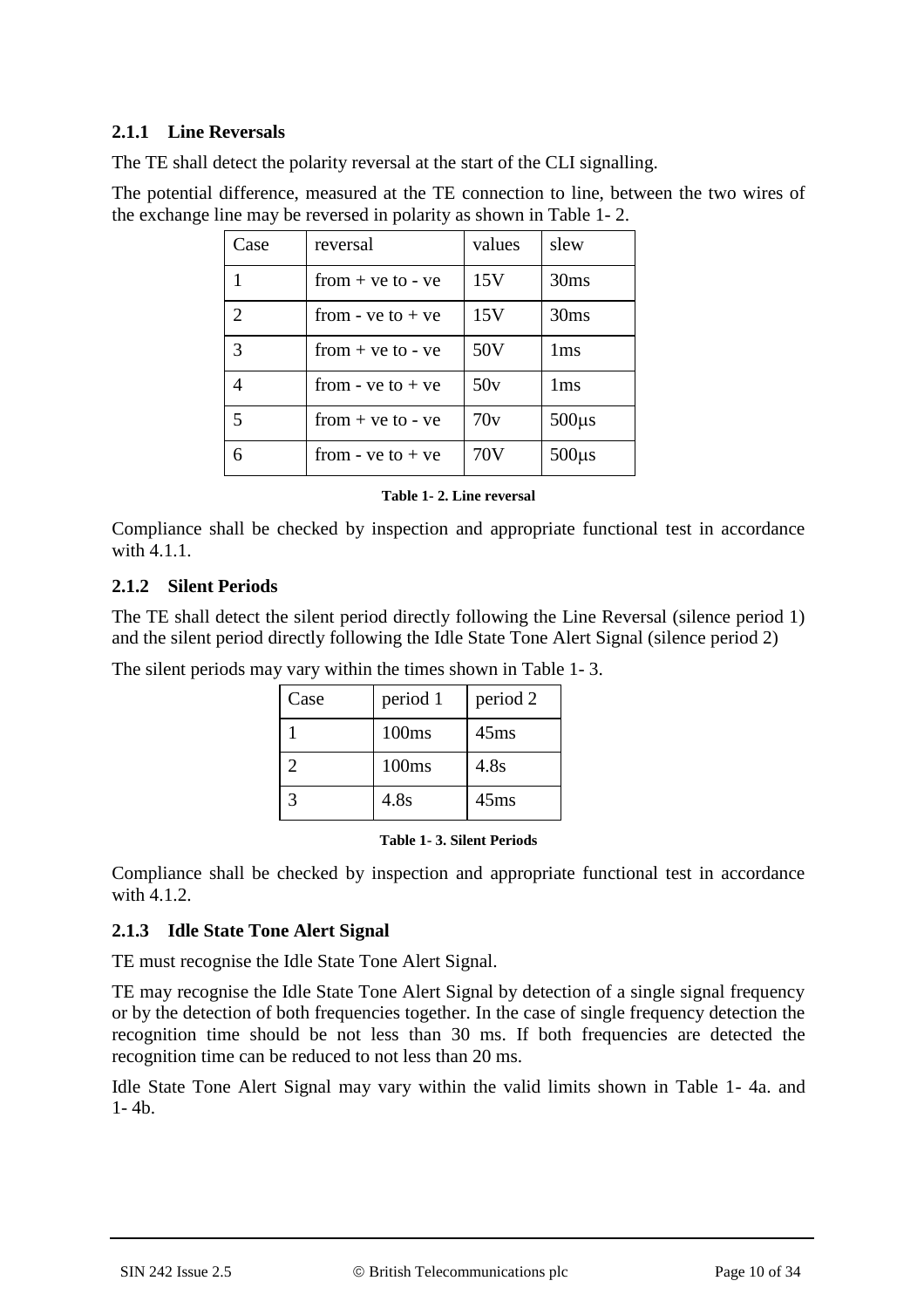#### **2.1.1 Line Reversals**

The TE shall detect the polarity reversal at the start of the CLI signalling.

The potential difference, measured at the TE connection to line, between the two wires of the exchange line may be reversed in polarity as shown in Table 1- 2.

| Case           | reversal              | values | slew             |
|----------------|-----------------------|--------|------------------|
|                | $from + ve to - ve$   | 15V    | 30ms             |
| $\overline{2}$ | from - $ve$ to $+ve$  | 15V    | 30 <sub>ms</sub> |
| 3              | $from + ve to - ve$   | 50V    | 1 <sub>ms</sub>  |
| 4              | from - $ve$ to $+ve$  | 50v    | 1 <sub>ms</sub>  |
| 5              | $from + ve to - ve$   | 70v    | $500\mu s$       |
|                | from - $ve$ to + $ve$ | 70V    | $500\mu s$       |

#### **Table 1- 2. Line reversal**

Compliance shall be checked by inspection and appropriate functional test in accordance with 4.1.1.

### **2.1.2 Silent Periods**

The TE shall detect the silent period directly following the Line Reversal (silence period 1) and the silent period directly following the Idle State Tone Alert Signal (silence period 2)

The silent periods may vary within the times shown in Table 1- 3.

| Case | period 1 | period 2         |
|------|----------|------------------|
|      | 100ms    | 45 <sub>ms</sub> |
| 2    | 100ms    | 4.8s             |
|      | 4.8s     | 45 <sub>ms</sub> |

#### **Table 1- 3. Silent Periods**

Compliance shall be checked by inspection and appropriate functional test in accordance with 4.1.2.

### **2.1.3 Idle State Tone Alert Signal**

TE must recognise the Idle State Tone Alert Signal.

TE may recognise the Idle State Tone Alert Signal by detection of a single signal frequency or by the detection of both frequencies together. In the case of single frequency detection the recognition time should be not less than 30 ms. If both frequencies are detected the recognition time can be reduced to not less than 20 ms.

Idle State Tone Alert Signal may vary within the valid limits shown in Table 1- 4a. and  $1 - 4b$ .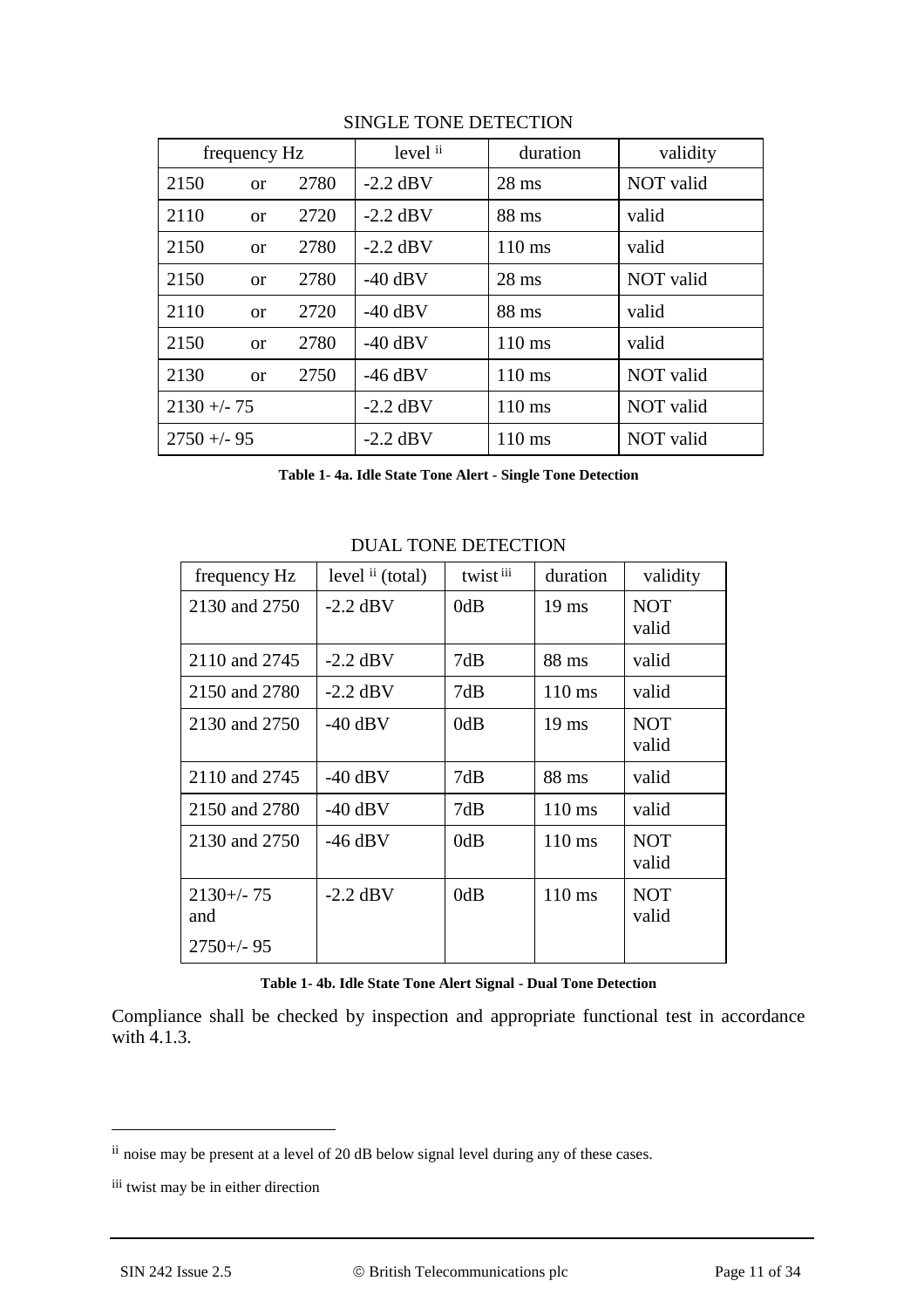| frequency Hz |               | level ii | duration   | validity         |           |
|--------------|---------------|----------|------------|------------------|-----------|
| 2150         | <sub>or</sub> | 2780     | $-2.2$ dBV | $28$ ms          | NOT valid |
| 2110         | <sub>or</sub> | 2720     | $-2.2$ dBV | 88 ms            | valid     |
| 2150         | <b>or</b>     | 2780     | $-2.2$ dBV | $110 \text{ ms}$ | valid     |
| 2150         | <sub>or</sub> | 2780     | $-40$ dBV  | $28$ ms          | NOT valid |
| 2110         | <sub>or</sub> | 2720     | $-40$ dBV  | 88 ms            | valid     |
| 2150         | <sub>or</sub> | 2780     | $-40$ dBV  | 110 ms           | valid     |
| 2130         | <sub>or</sub> | 2750     | $-46$ dBV  | $110 \text{ ms}$ | NOT valid |
| $2130 + -75$ |               |          | $-2.2$ dBV | $110 \text{ ms}$ | NOT valid |
| $2750 + -95$ |               |          | $-2.2$ dBV | $110 \text{ ms}$ | NOT valid |

#### SINGLE TONE DETECTION

**Table 1- 4a. Idle State Tone Alert - Single Tone Detection**

| frequency Hz                           | level ii (total) | twist iii | duration         | validity            |
|----------------------------------------|------------------|-----------|------------------|---------------------|
| 2130 and 2750                          | $-2.2$ dBV       | 0dB       | $19 \text{ ms}$  | <b>NOT</b><br>valid |
| 2110 and 2745                          | $-2.2$ dBV       | 7dB       | 88 ms            | valid               |
| 2150 and 2780                          | $-2.2$ dBV       | 7dB       | $110 \text{ ms}$ | valid               |
| 2130 and 2750                          | $-40$ dBV        | 0dB       | $19 \text{ ms}$  | <b>NOT</b><br>valid |
| 2110 and 2745                          | $-40$ dBV        | 7dB       | 88 ms            | valid               |
| 2150 and 2780                          | $-40$ dBV        | 7dB       | 110 ms           | valid               |
| 2130 and 2750                          | $-46$ dBV        | 0dB       | $110 \text{ ms}$ | <b>NOT</b><br>valid |
| $2130 + - 75$<br>and<br>$2750 + (-95)$ | $-2.2$ dBV       | 0dB       | $110 \text{ ms}$ | <b>NOT</b><br>valid |

#### DUAL TONE DETECTION

**Table 1- 4b. Idle State Tone Alert Signal - Dual Tone Detection**

Compliance shall be checked by inspection and appropriate functional test in accordance with 4.1.3.

<u>.</u>

ii noise may be present at a level of 20 dB below signal level during any of these cases.

iii twist may be in either direction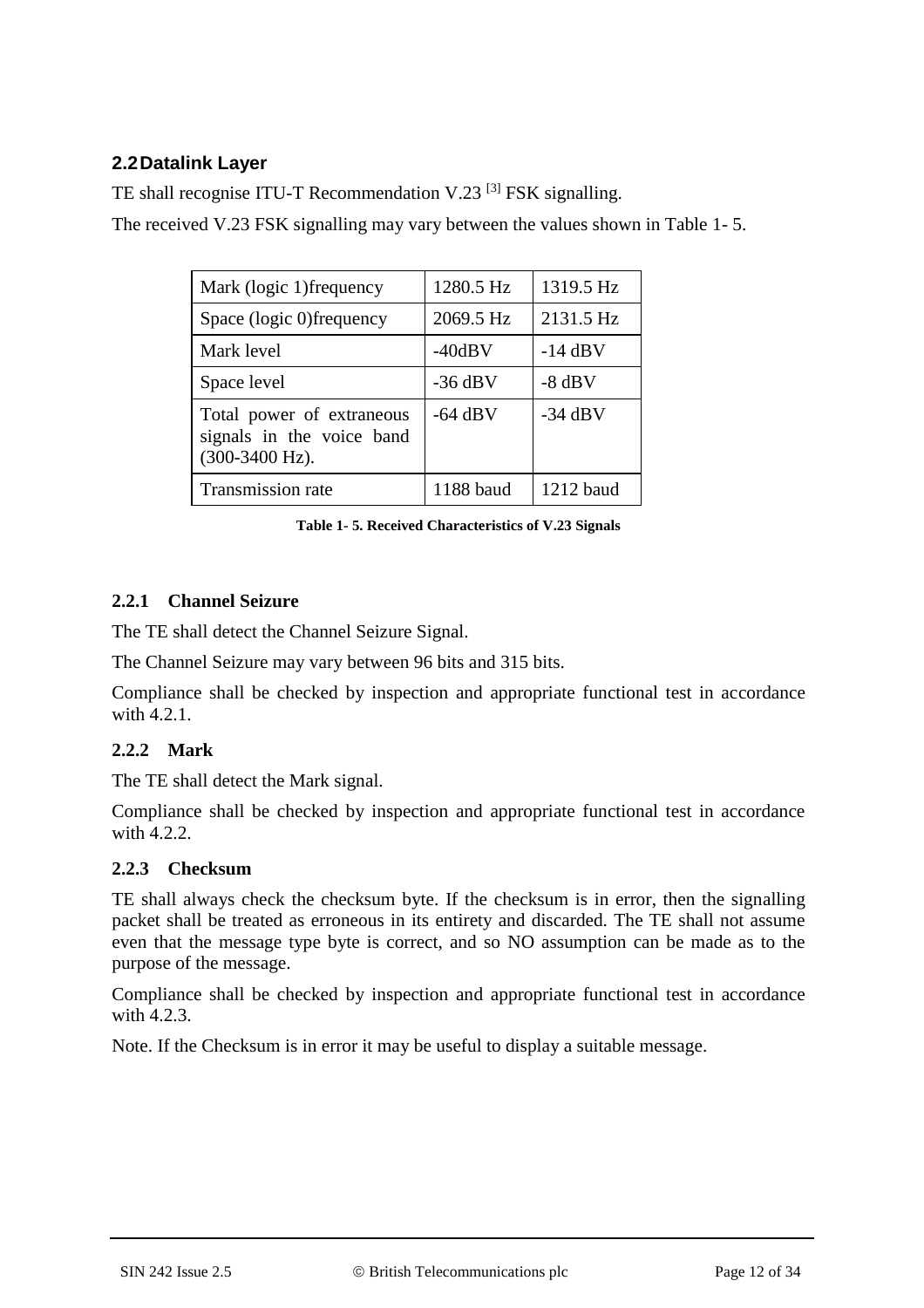## **2.2Datalink Layer**

TE shall recognise ITU-T Recommendation V.23<sup>[3]</sup> FSK signalling.

The received V.23 FSK signalling may vary between the values shown in Table 1- 5.

| Mark (logic 1) frequency                                                 | 1280.5 Hz | 1319.5 Hz |
|--------------------------------------------------------------------------|-----------|-----------|
| Space (logic 0)frequency                                                 | 2069.5 Hz | 2131.5 Hz |
| Mark level                                                               | $-40dBV$  | $-14$ dBV |
| Space level                                                              | $-36$ dBV | $-8$ dBV  |
| Total power of extraneous<br>signals in the voice band<br>(300-3400 Hz). | $-64$ dBV | $-34$ dBV |
| Transmission rate                                                        | 1188 baud | 1212 baud |

**Table 1- 5. Received Characteristics of V.23 Signals** 

### **2.2.1 Channel Seizure**

The TE shall detect the Channel Seizure Signal.

The Channel Seizure may vary between 96 bits and 315 bits.

Compliance shall be checked by inspection and appropriate functional test in accordance with 4.2.1.

## **2.2.2 Mark**

The TE shall detect the Mark signal.

Compliance shall be checked by inspection and appropriate functional test in accordance with 4.2.2.

### **2.2.3 Checksum**

TE shall always check the checksum byte. If the checksum is in error, then the signalling packet shall be treated as erroneous in its entirety and discarded. The TE shall not assume even that the message type byte is correct, and so NO assumption can be made as to the purpose of the message.

Compliance shall be checked by inspection and appropriate functional test in accordance with  $4.2.3$ .

Note. If the Checksum is in error it may be useful to display a suitable message.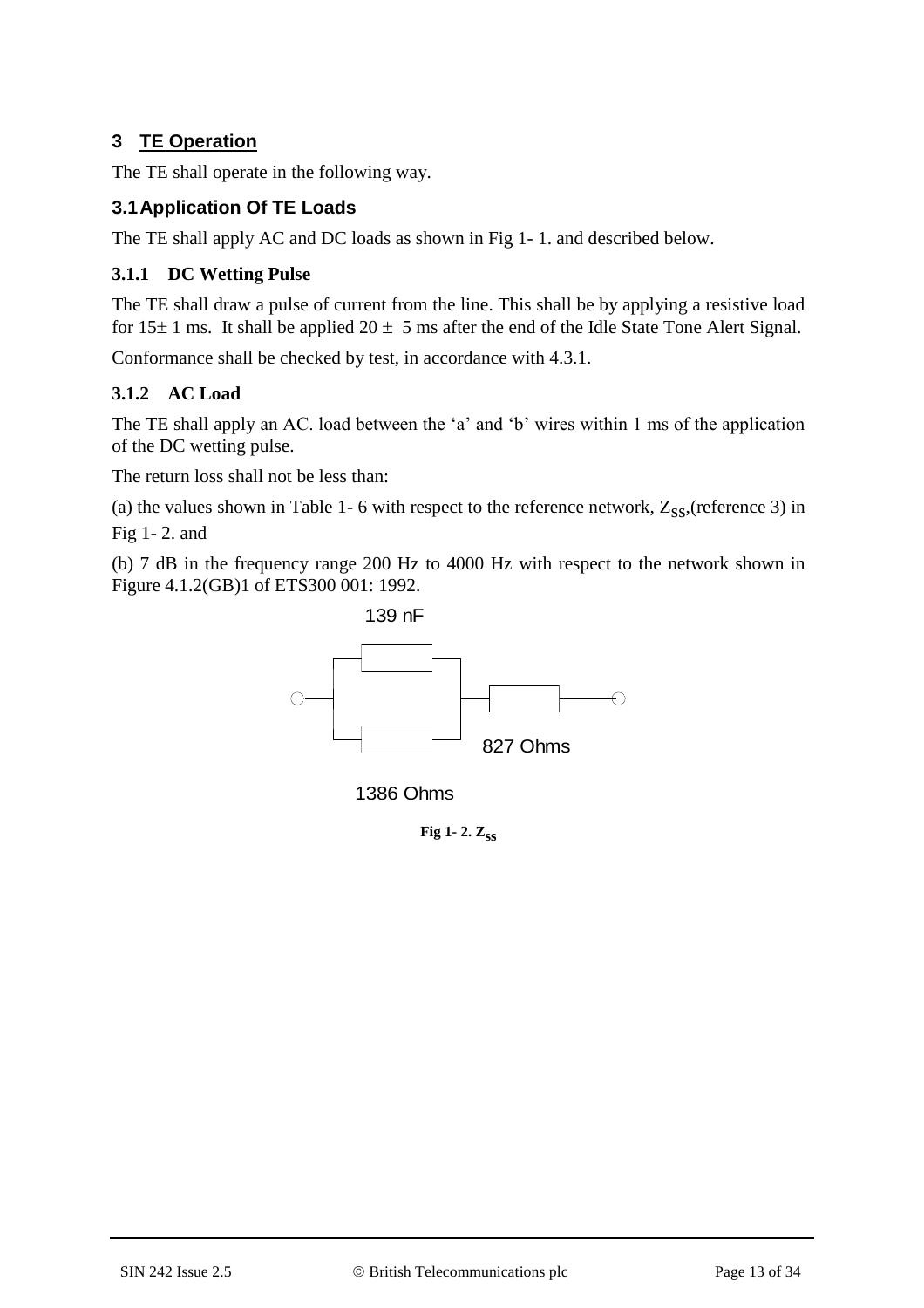## **3 TE Operation**

The TE shall operate in the following way.

## **3.1Application Of TE Loads**

The TE shall apply AC and DC loads as shown in Fig 1- 1. and described below.

## **3.1.1 DC Wetting Pulse**

The TE shall draw a pulse of current from the line. This shall be by applying a resistive load for  $15 \pm 1$  ms. It shall be applied  $20 \pm 5$  ms after the end of the Idle State Tone Alert Signal.

Conformance shall be checked by test, in accordance with 4.3.1.

## **3.1.2 AC Load**

The TE shall apply an AC. load between the 'a' and 'b' wires within 1 ms of the application of the DC wetting pulse.

The return loss shall not be less than:

(a) the values shown in Table 1- 6 with respect to the reference network,  $Z_{SS}$ , (reference 3) in Fig 1- 2. and

(b) 7 dB in the frequency range 200 Hz to 4000 Hz with respect to the network shown in Figure 4.1.2(GB)1 of ETS300 001: 1992.



1386 Ohms

**Fig 1-2.**  $Z_{SS}$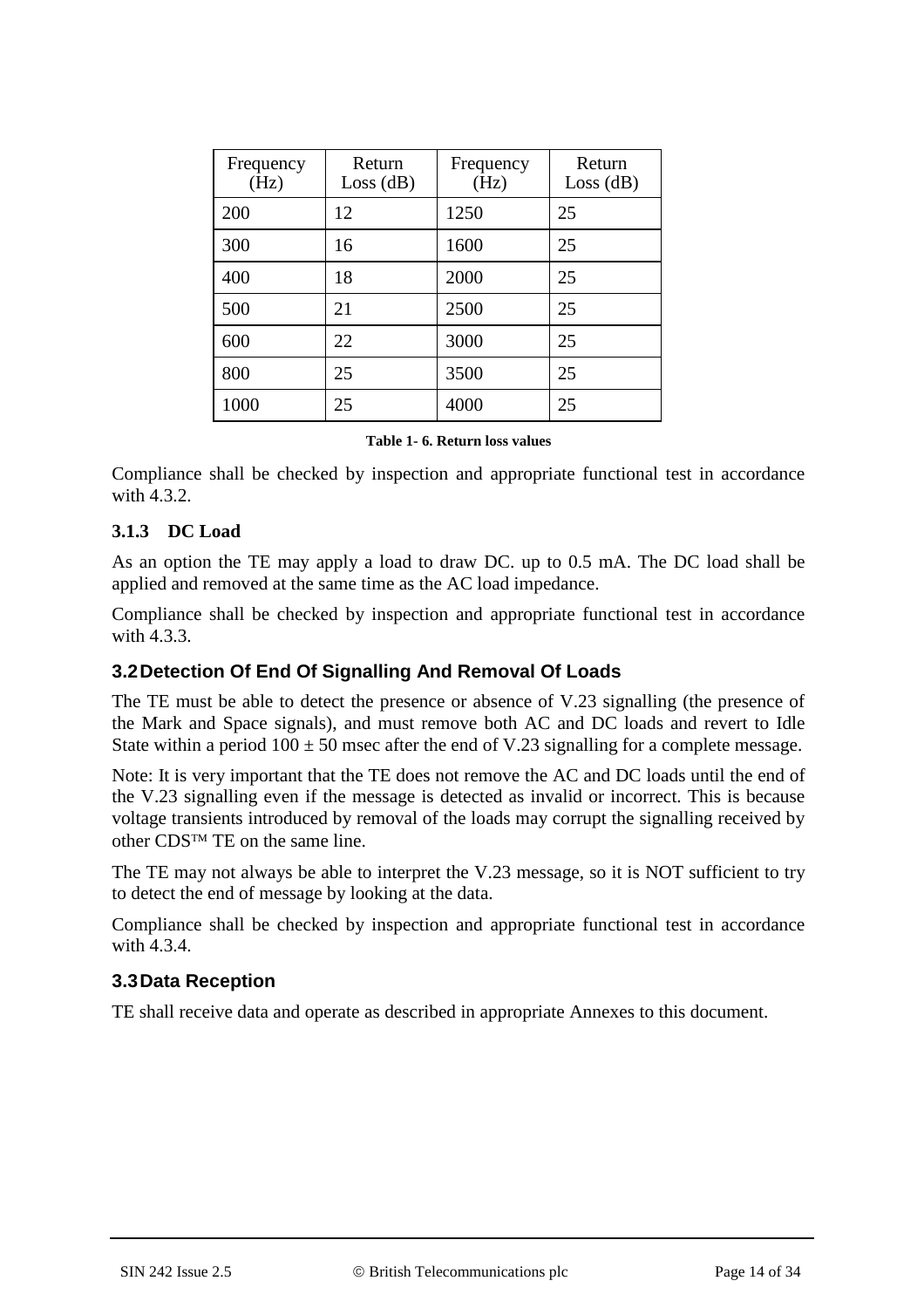| Frequency<br>(Hz) | Return<br>Loss(dB) | Frequency<br>(Hz) | Return<br>Loss(dB) |
|-------------------|--------------------|-------------------|--------------------|
| 200               | 12                 | 1250              | 25                 |
| 300               | 16                 | 1600              | 25                 |
| 400               | 18                 | 2000              | 25                 |
| 500               | 21                 | 2500              | 25                 |
| 600               | 22                 | 3000              | 25                 |
| 800               | 25                 | 3500              | 25                 |
| 1000              | 25                 | 4000              | 25                 |

#### **Table 1- 6. Return loss values**

Compliance shall be checked by inspection and appropriate functional test in accordance with 4.3.2.

#### **3.1.3 DC Load**

As an option the TE may apply a load to draw DC. up to 0.5 mA. The DC load shall be applied and removed at the same time as the AC load impedance.

Compliance shall be checked by inspection and appropriate functional test in accordance with 4.3.3.

#### **3.2Detection Of End Of Signalling And Removal Of Loads**

The TE must be able to detect the presence or absence of V.23 signalling (the presence of the Mark and Space signals), and must remove both AC and DC loads and revert to Idle State within a period  $100 \pm 50$  msec after the end of V.23 signalling for a complete message.

Note: It is very important that the TE does not remove the AC and DC loads until the end of the V.23 signalling even if the message is detected as invalid or incorrect. This is because voltage transients introduced by removal of the loads may corrupt the signalling received by other  $CDS^{TM}$  TE on the same line.

The TE may not always be able to interpret the V.23 message, so it is NOT sufficient to try to detect the end of message by looking at the data.

Compliance shall be checked by inspection and appropriate functional test in accordance with  $\overline{4.3.4}$ .

#### **3.3Data Reception**

TE shall receive data and operate as described in appropriate Annexes to this document.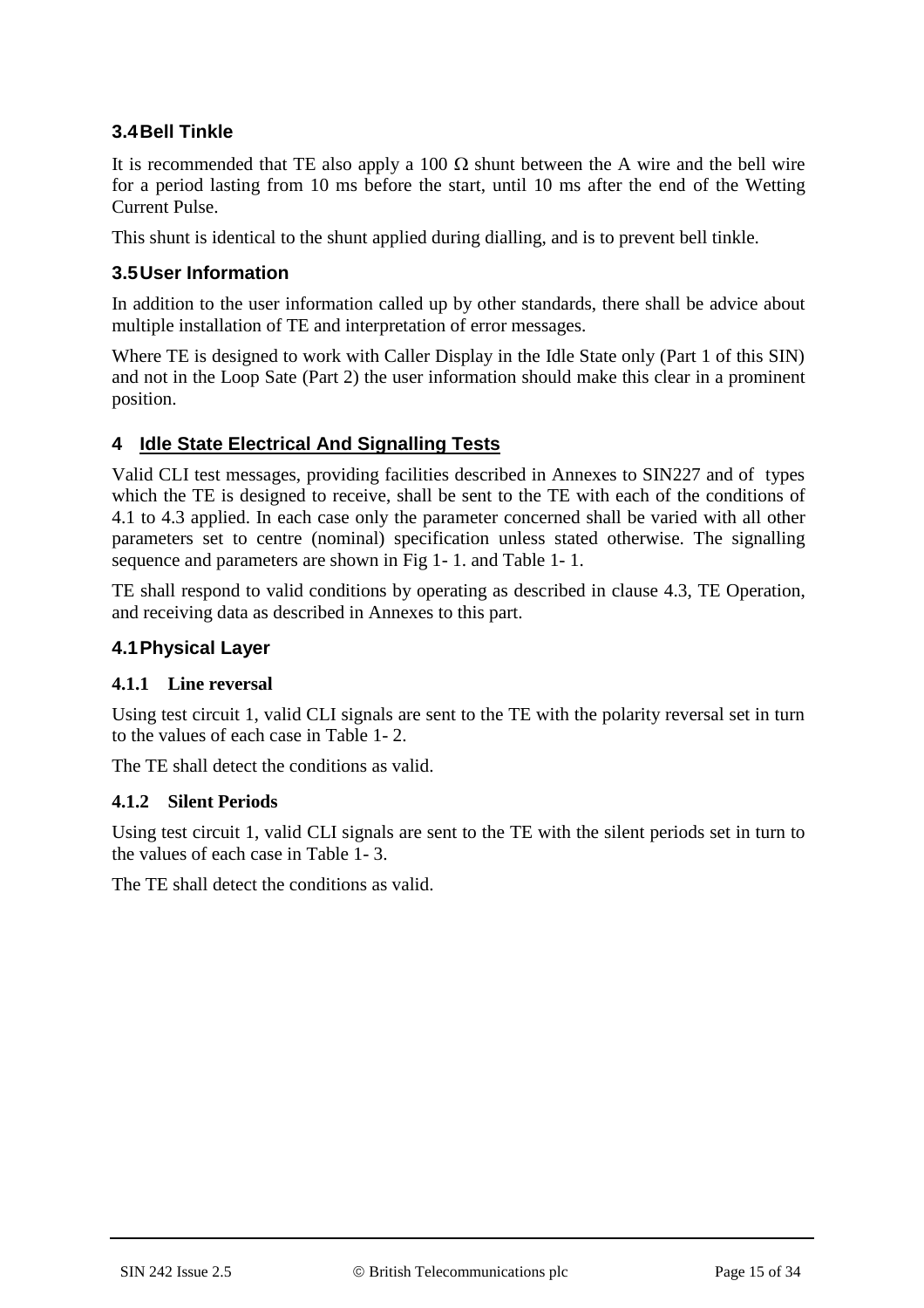## **3.4Bell Tinkle**

It is recommended that TE also apply a 100  $\Omega$  shunt between the A wire and the bell wire for a period lasting from 10 ms before the start, until 10 ms after the end of the Wetting Current Pulse.

This shunt is identical to the shunt applied during dialling, and is to prevent bell tinkle.

## **3.5User Information**

In addition to the user information called up by other standards, there shall be advice about multiple installation of TE and interpretation of error messages.

Where TE is designed to work with Caller Display in the Idle State only (Part 1 of this SIN) and not in the Loop Sate (Part 2) the user information should make this clear in a prominent position.

## **4 Idle State Electrical And Signalling Tests**

Valid CLI test messages, providing facilities described in Annexes to SIN227 and of types which the TE is designed to receive, shall be sent to the TE with each of the conditions of 4.1 to 4.3 applied. In each case only the parameter concerned shall be varied with all other parameters set to centre (nominal) specification unless stated otherwise. The signalling sequence and parameters are shown in Fig 1- 1. and Table 1- 1.

TE shall respond to valid conditions by operating as described in clause 4.3, TE Operation, and receiving data as described in Annexes to this part.

## **4.1Physical Layer**

### **4.1.1 Line reversal**

Using test circuit 1, valid CLI signals are sent to the TE with the polarity reversal set in turn to the values of each case in Table 1- 2.

The TE shall detect the conditions as valid.

## **4.1.2 Silent Periods**

Using test circuit 1, valid CLI signals are sent to the TE with the silent periods set in turn to the values of each case in Table 1- 3.

The TE shall detect the conditions as valid.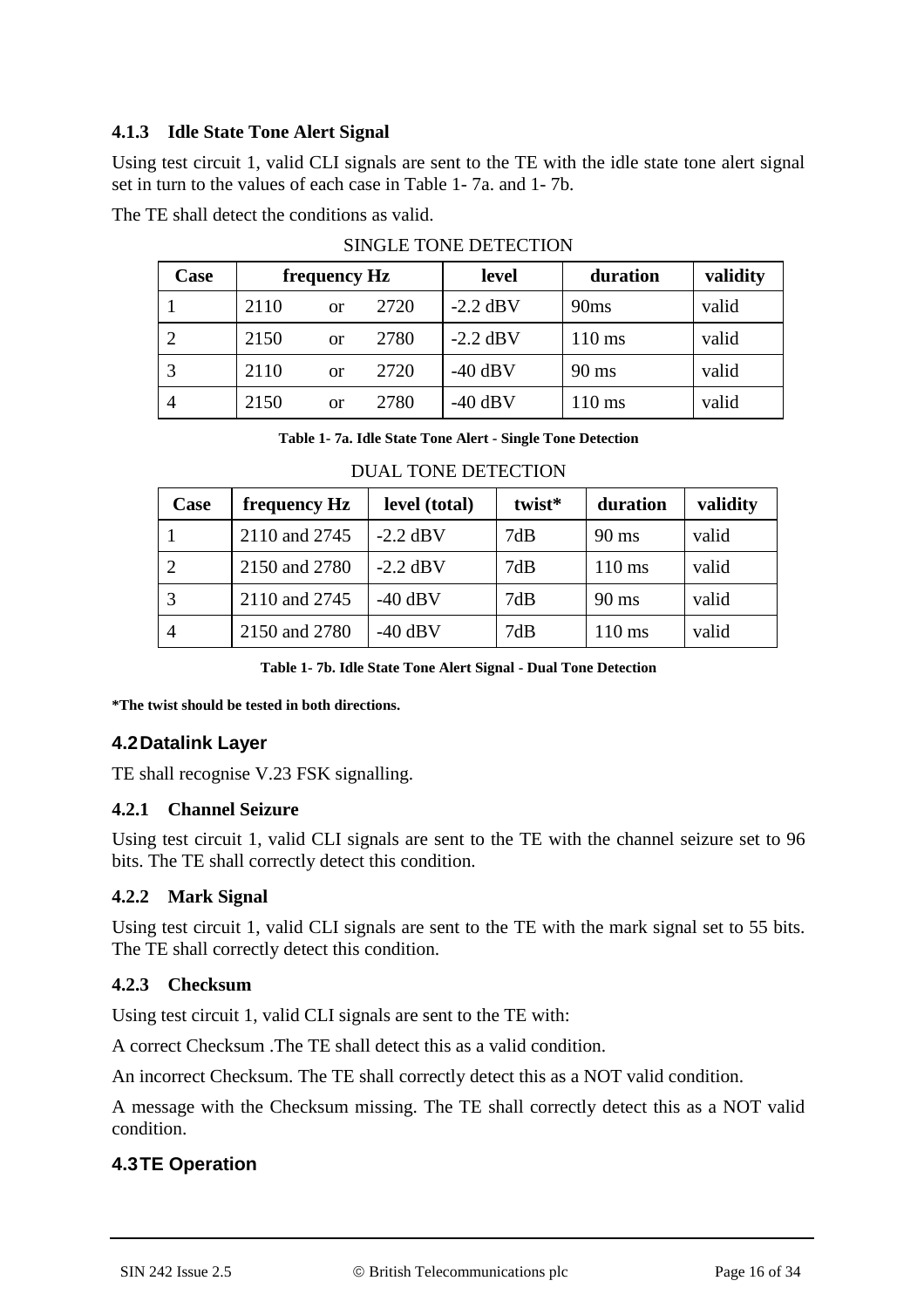### **4.1.3 Idle State Tone Alert Signal**

Using test circuit 1, valid CLI signals are sent to the TE with the idle state tone alert signal set in turn to the values of each case in Table 1- 7a. and 1- 7b.

The TE shall detect the conditions as valid.

| Case           | frequency Hz |    | level | duration   | validity         |       |
|----------------|--------------|----|-------|------------|------------------|-------|
|                | 2110         | or | 2720  | $-2.2$ dBV | 90ms             | valid |
|                | 2150         | or | 2780  | $-2.2$ dBV | $110 \text{ ms}$ | valid |
| 3              | 2110         | or | 2720  | $-40$ dBV  | $90 \text{ ms}$  | valid |
| $\overline{4}$ | 2150         | or | 2780  | $-40$ dBV  | 110 ms           | valid |

|  | <b>SINGLE TONE DETECTION</b> |
|--|------------------------------|
|  |                              |

**Table 1- 7a. Idle State Tone Alert - Single Tone Detection**

| Case           | frequency Hz  | level (total) | twist* | duration         | validity |
|----------------|---------------|---------------|--------|------------------|----------|
|                | 2110 and 2745 | $-2.2$ dBV    | 7dB    | 90 ms            | valid    |
| 2              | 2150 and 2780 | $-2.2$ dBV    | 7dB    | $110 \text{ ms}$ | valid    |
|                | 2110 and 2745 | $-40$ dBV     | 7dB    | $90 \text{ ms}$  | valid    |
| $\overline{4}$ | 2150 and 2780 | $-40$ dBV     | 7dB    | $110 \text{ ms}$ | valid    |

#### DUAL TONE DETECTION

**Table 1- 7b. Idle State Tone Alert Signal - Dual Tone Detection**

**\*The twist should be tested in both directions.**

## **4.2Datalink Layer**

TE shall recognise V.23 FSK signalling.

## **4.2.1 Channel Seizure**

Using test circuit 1, valid CLI signals are sent to the TE with the channel seizure set to 96 bits. The TE shall correctly detect this condition.

## **4.2.2 Mark Signal**

Using test circuit 1, valid CLI signals are sent to the TE with the mark signal set to 55 bits. The TE shall correctly detect this condition.

## **4.2.3 Checksum**

Using test circuit 1, valid CLI signals are sent to the TE with:

A correct Checksum .The TE shall detect this as a valid condition.

An incorrect Checksum. The TE shall correctly detect this as a NOT valid condition.

A message with the Checksum missing. The TE shall correctly detect this as a NOT valid condition.

## **4.3TE Operation**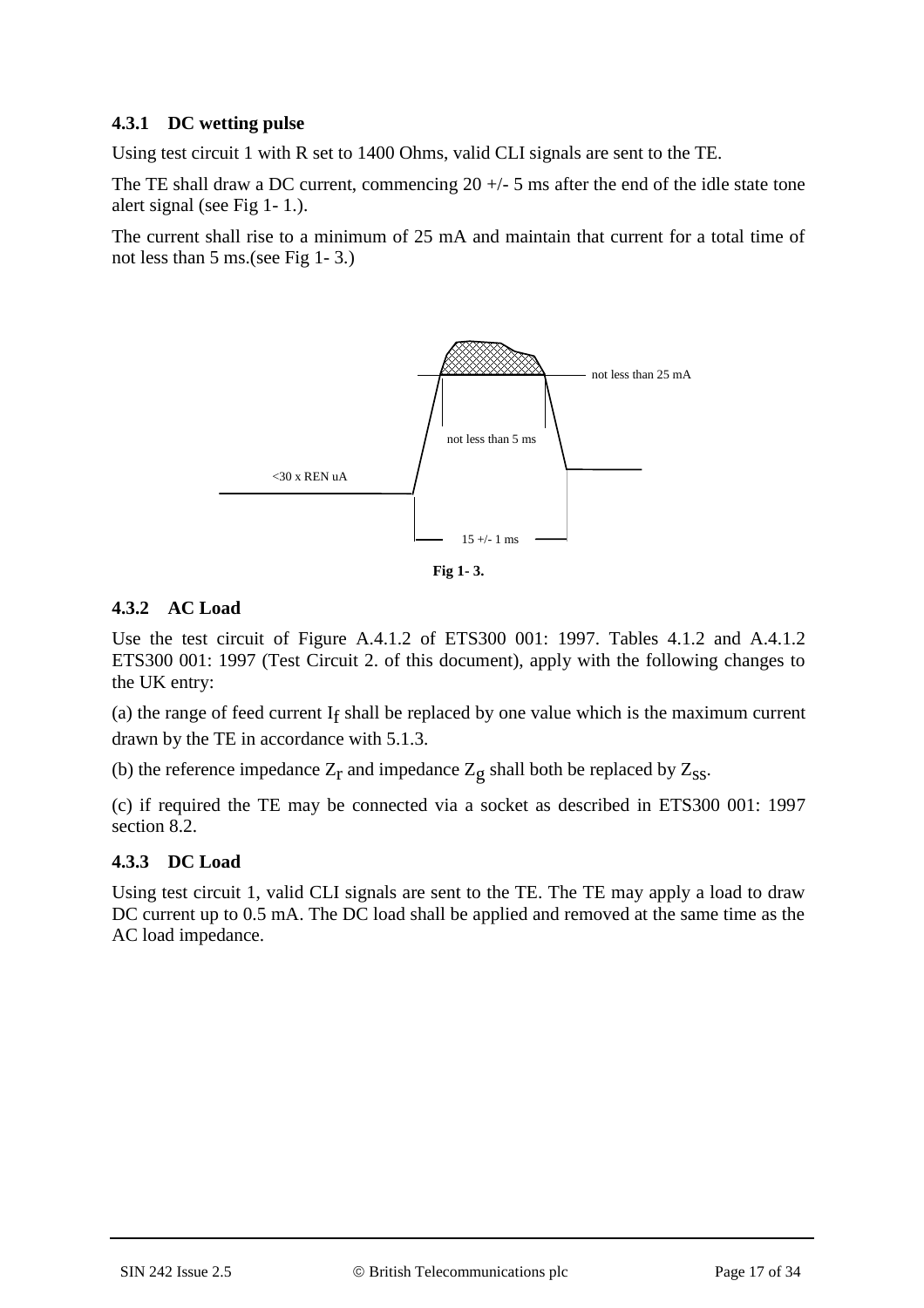### **4.3.1 DC wetting pulse**

Using test circuit 1 with R set to 1400 Ohms, valid CLI signals are sent to the TE.

The TE shall draw a DC current, commencing  $20 +/- 5$  ms after the end of the idle state tone alert signal (see Fig 1- 1.).

The current shall rise to a minimum of 25 mA and maintain that current for a total time of not less than 5 ms.(see Fig 1- 3.)



**Fig 1- 3.**

### **4.3.2 AC Load**

Use the test circuit of Figure A.4.1.2 of ETS300 001: 1997. Tables 4.1.2 and A.4.1.2 ETS300 001: 1997 (Test Circuit 2. of this document), apply with the following changes to the UK entry:

(a) the range of feed current  $I_f$  shall be replaced by one value which is the maximum current drawn by the TE in accordance with 5.1.3.

(b) the reference impedance  $Z_r$  and impedance  $Z_g$  shall both be replaced by  $Z_{ss}$ .

(c) if required the TE may be connected via a socket as described in ETS300 001: 1997 section 8.2.

### **4.3.3 DC Load**

Using test circuit 1, valid CLI signals are sent to the TE. The TE may apply a load to draw DC current up to 0.5 mA. The DC load shall be applied and removed at the same time as the AC load impedance.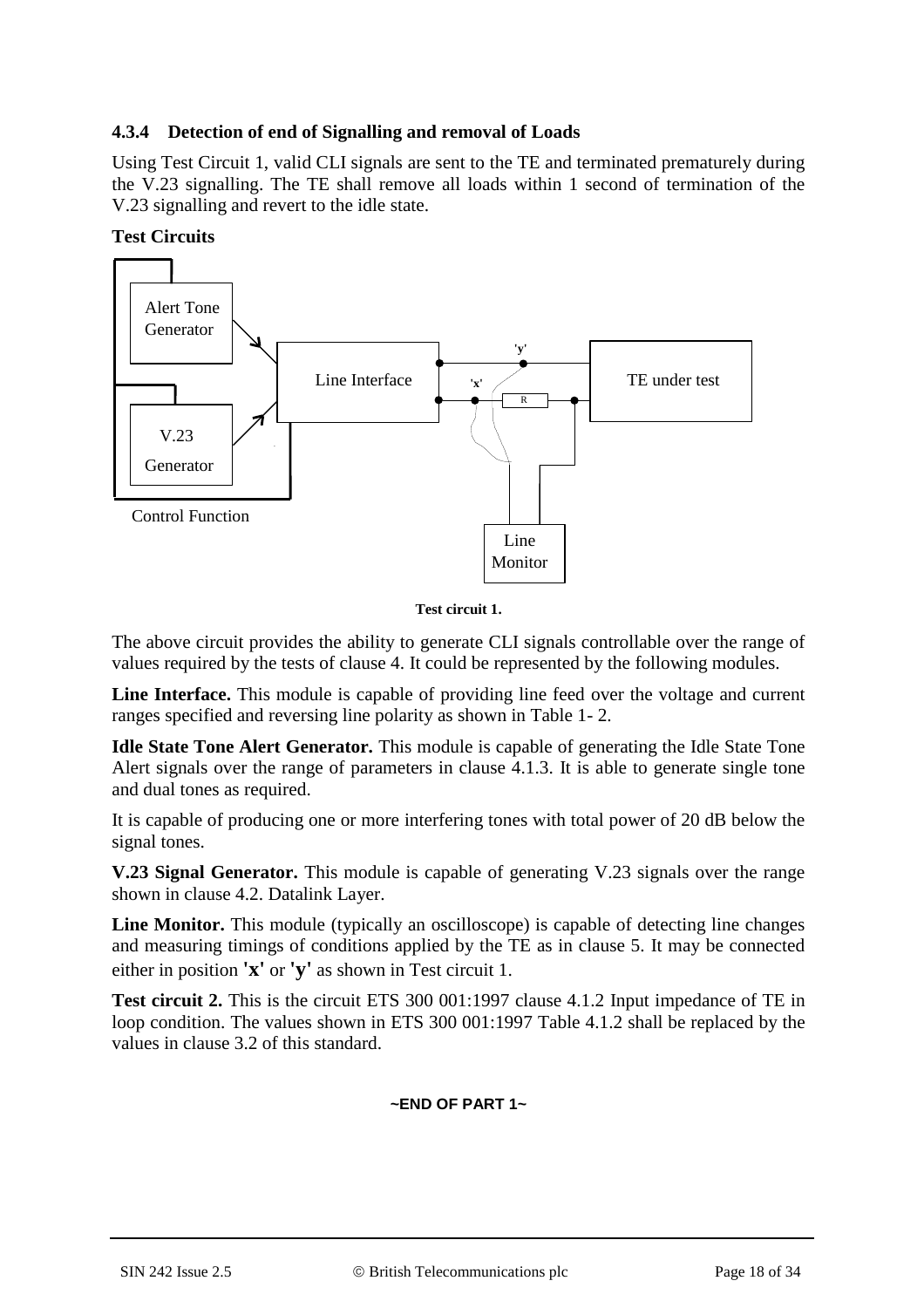### **4.3.4 Detection of end of Signalling and removal of Loads**

Using Test Circuit 1, valid CLI signals are sent to the TE and terminated prematurely during the V.23 signalling. The TE shall remove all loads within 1 second of termination of the V.23 signalling and revert to the idle state.

### **Test Circuits**



**Test circuit 1.**

The above circuit provides the ability to generate CLI signals controllable over the range of values required by the tests of clause 4. It could be represented by the following modules.

**Line Interface.** This module is capable of providing line feed over the voltage and current ranges specified and reversing line polarity as shown in Table 1- 2.

**Idle State Tone Alert Generator.** This module is capable of generating the Idle State Tone Alert signals over the range of parameters in clause 4.1.3. It is able to generate single tone and dual tones as required.

It is capable of producing one or more interfering tones with total power of 20 dB below the signal tones.

**V.23 Signal Generator.** This module is capable of generating V.23 signals over the range shown in clause 4.2. Datalink Layer.

**Line Monitor.** This module (typically an oscilloscope) is capable of detecting line changes and measuring timings of conditions applied by the TE as in clause 5. It may be connected either in position **'x'** or **'y'** as shown in Test circuit 1.

**Test circuit 2.** This is the circuit ETS 300 001:1997 clause 4.1.2 Input impedance of TE in loop condition. The values shown in ETS 300 001:1997 Table 4.1.2 shall be replaced by the values in clause 3.2 of this standard.

### **~END OF PART 1~**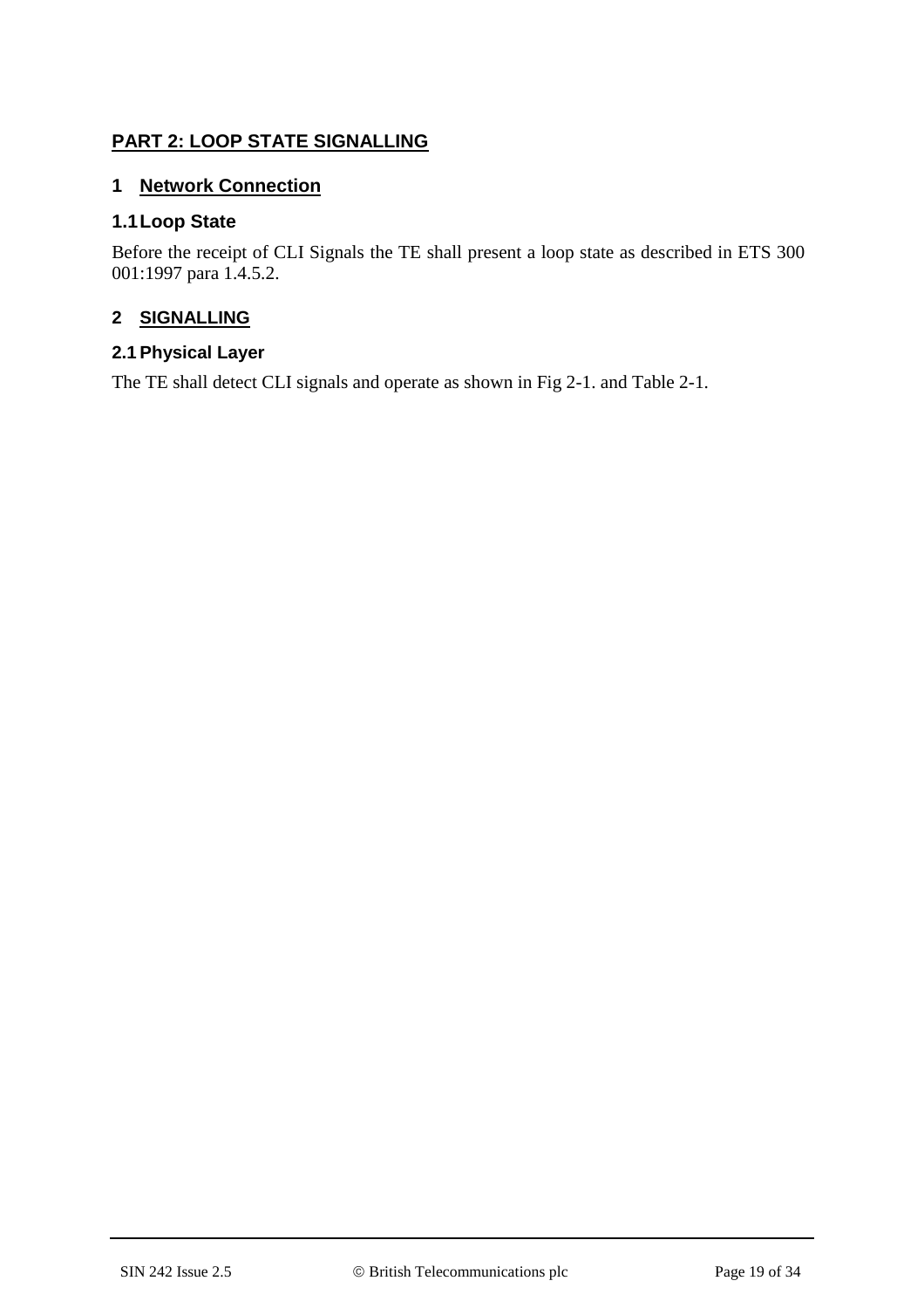## **PART 2: LOOP STATE SIGNALLING**

## **1 Network Connection**

### **1.1Loop State**

Before the receipt of CLI Signals the TE shall present a loop state as described in ETS 300 001:1997 para 1.4.5.2.

### **2 SIGNALLING**

## **2.1 Physical Layer**

The TE shall detect CLI signals and operate as shown in Fig 2-1. and Table 2-1.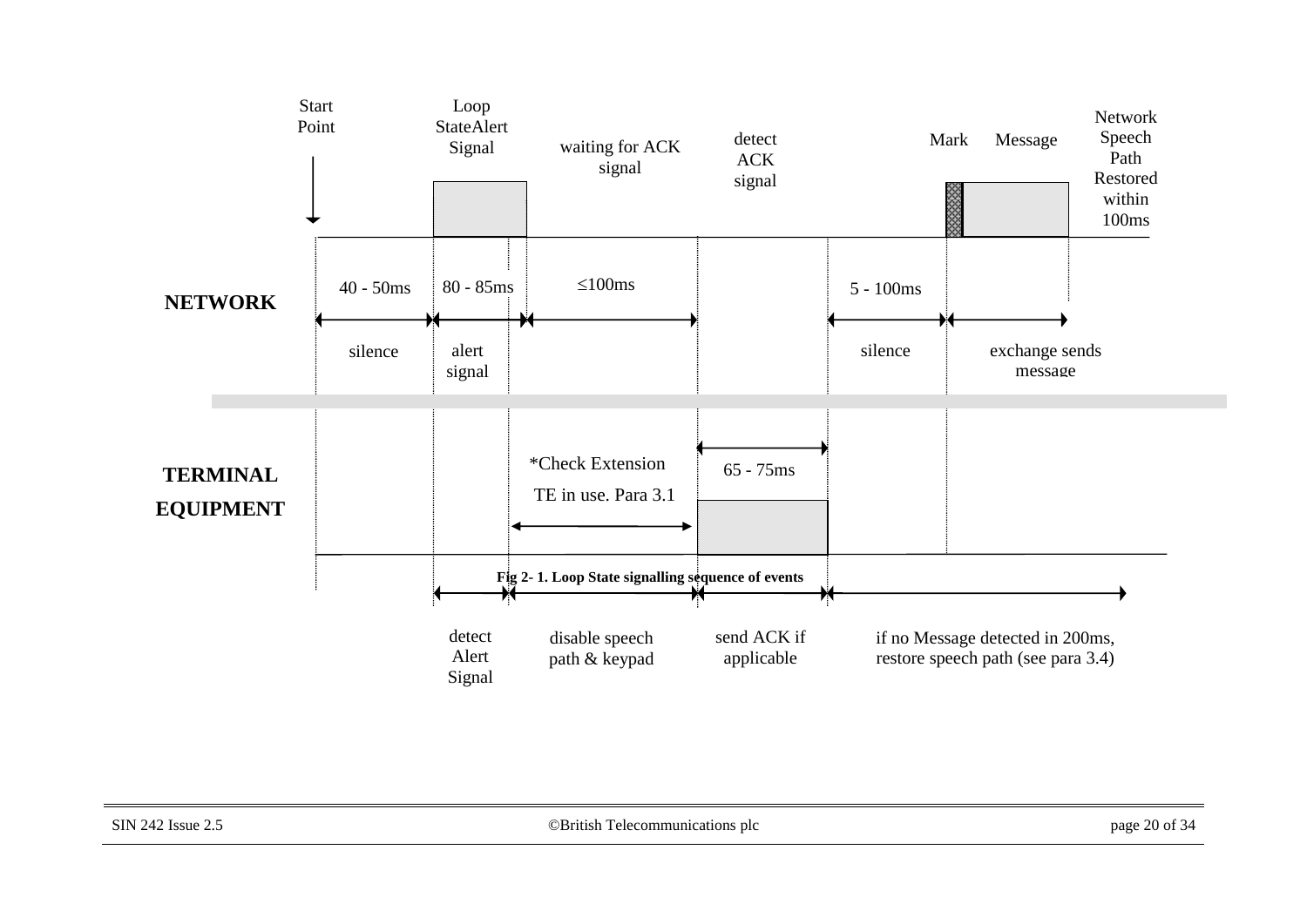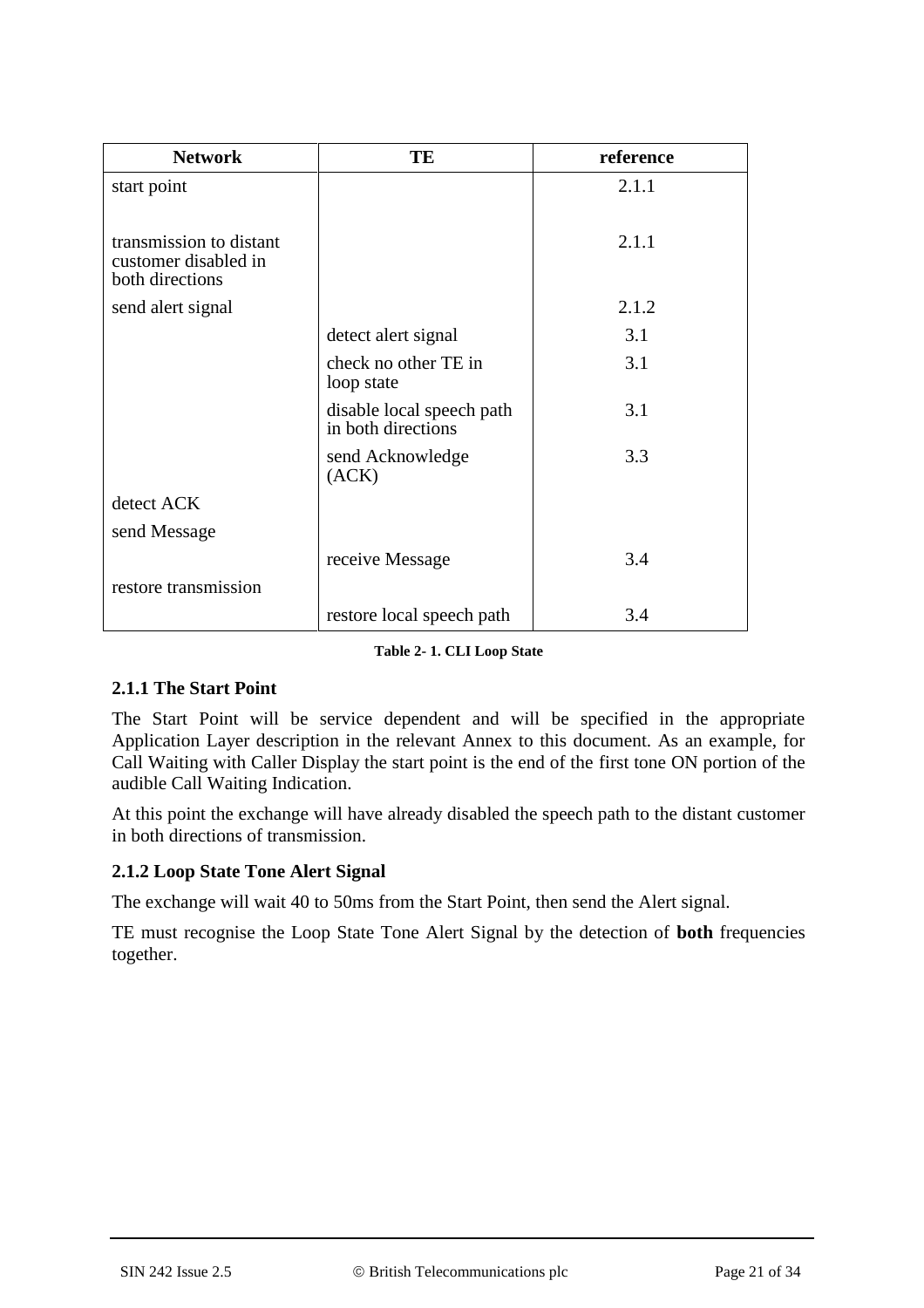| <b>Network</b>                                                     | TE                                              | reference |
|--------------------------------------------------------------------|-------------------------------------------------|-----------|
| start point                                                        |                                                 | 2.1.1     |
|                                                                    |                                                 |           |
| transmission to distant<br>customer disabled in<br>both directions |                                                 | 2.1.1     |
| send alert signal                                                  |                                                 | 2.1.2     |
|                                                                    | detect alert signal                             | 3.1       |
|                                                                    | check no other TE in<br>loop state              | 3.1       |
|                                                                    | disable local speech path<br>in both directions | 3.1       |
|                                                                    | send Acknowledge<br>(ACK)                       | 3.3       |
| detect ACK                                                         |                                                 |           |
| send Message                                                       |                                                 |           |
|                                                                    | receive Message                                 | 3.4       |
| restore transmission                                               |                                                 |           |
|                                                                    | restore local speech path                       | 3.4       |

**Table 2- 1. CLI Loop State**

## **2.1.1 The Start Point**

The Start Point will be service dependent and will be specified in the appropriate Application Layer description in the relevant Annex to this document. As an example, for Call Waiting with Caller Display the start point is the end of the first tone ON portion of the audible Call Waiting Indication.

At this point the exchange will have already disabled the speech path to the distant customer in both directions of transmission.

## **2.1.2 Loop State Tone Alert Signal**

The exchange will wait 40 to 50ms from the Start Point, then send the Alert signal.

TE must recognise the Loop State Tone Alert Signal by the detection of **both** frequencies together.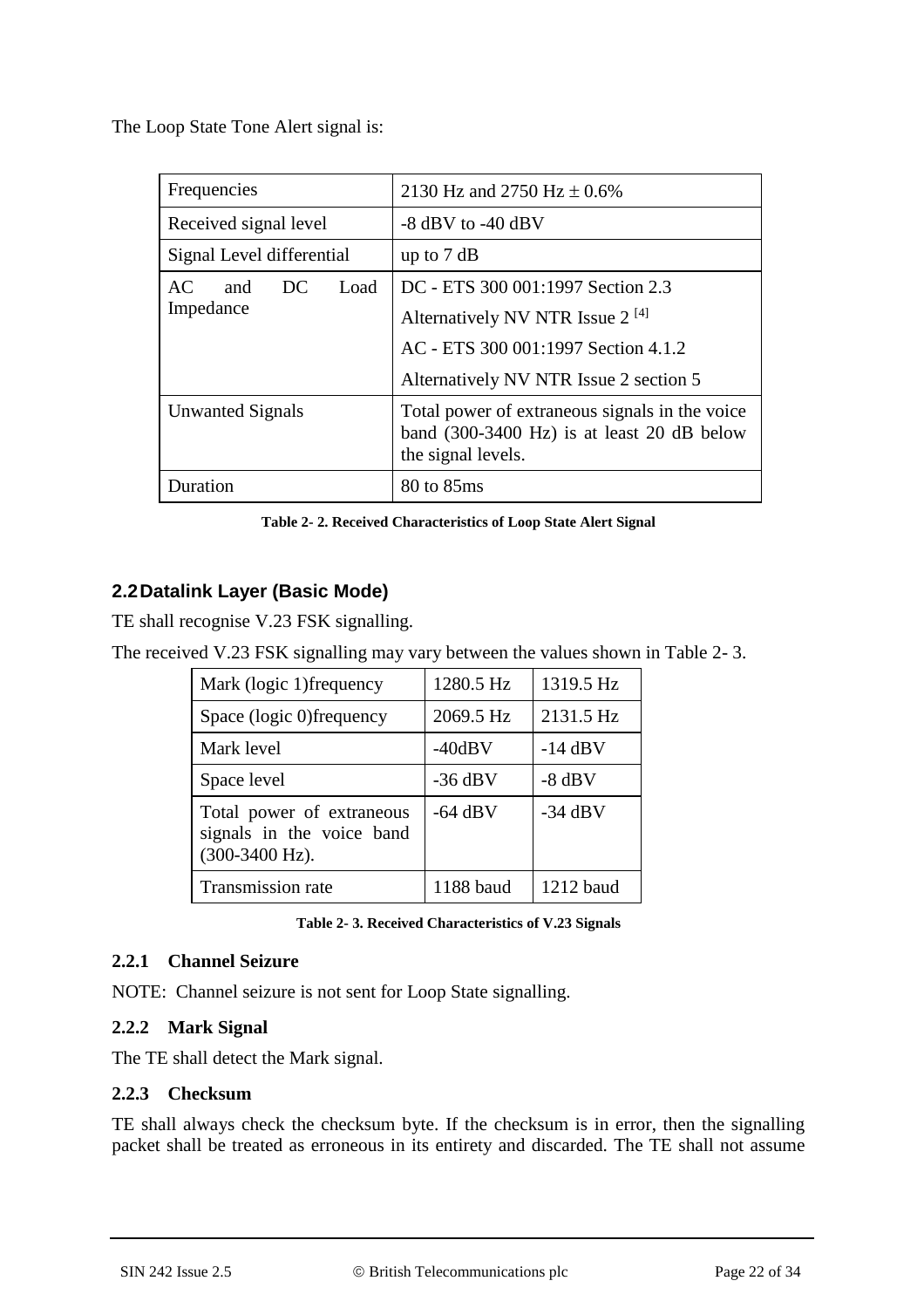The Loop State Tone Alert signal is:

| Frequencies               | 2130 Hz and 2750 Hz $\pm$ 0.6%                                                                                               |  |
|---------------------------|------------------------------------------------------------------------------------------------------------------------------|--|
| Received signal level     | $-8$ dBV to $-40$ dBV                                                                                                        |  |
| Signal Level differential | up to $7 dB$                                                                                                                 |  |
| AC.<br>Load<br>and<br>DC. | DC - ETS 300 001:1997 Section 2.3                                                                                            |  |
| Impedance                 | Alternatively NV NTR Issue $2^{[4]}$                                                                                         |  |
|                           | AC - ETS 300 001:1997 Section 4.1.2                                                                                          |  |
|                           | Alternatively NV NTR Issue 2 section 5                                                                                       |  |
| <b>Unwanted Signals</b>   | Total power of extraneous signals in the voice<br>band $(300-3400 \text{ Hz})$ is at least 20 dB below<br>the signal levels. |  |
| Duration                  | 80 to 85ms                                                                                                                   |  |

**Table 2- 2. Received Characteristics of Loop State Alert Signal**

## **2.2Datalink Layer (Basic Mode)**

TE shall recognise V.23 FSK signalling.

The received V.23 FSK signalling may vary between the values shown in Table 2- 3.

| Mark (logic 1) frequency                                                            | 1280.5 Hz | 1319.5 Hz |
|-------------------------------------------------------------------------------------|-----------|-----------|
| Space (logic 0) frequency                                                           | 2069.5 Hz | 2131.5 Hz |
| Mark level                                                                          | $-40dBV$  | $-14$ dBV |
| Space level                                                                         | $-36$ dBV | $-8$ dBV  |
| Total power of extraneous<br>signals in the voice band<br>$(300-3400 \text{ Hz})$ . | $-64$ dBV | $-34$ dBV |
| <b>Transmission rate</b>                                                            | 1188 baud | 1212 baud |

**Table 2- 3. Received Characteristics of V.23 Signals**

### **2.2.1 Channel Seizure**

NOTE: Channel seizure is not sent for Loop State signalling.

### **2.2.2 Mark Signal**

The TE shall detect the Mark signal.

### **2.2.3 Checksum**

TE shall always check the checksum byte. If the checksum is in error, then the signalling packet shall be treated as erroneous in its entirety and discarded. The TE shall not assume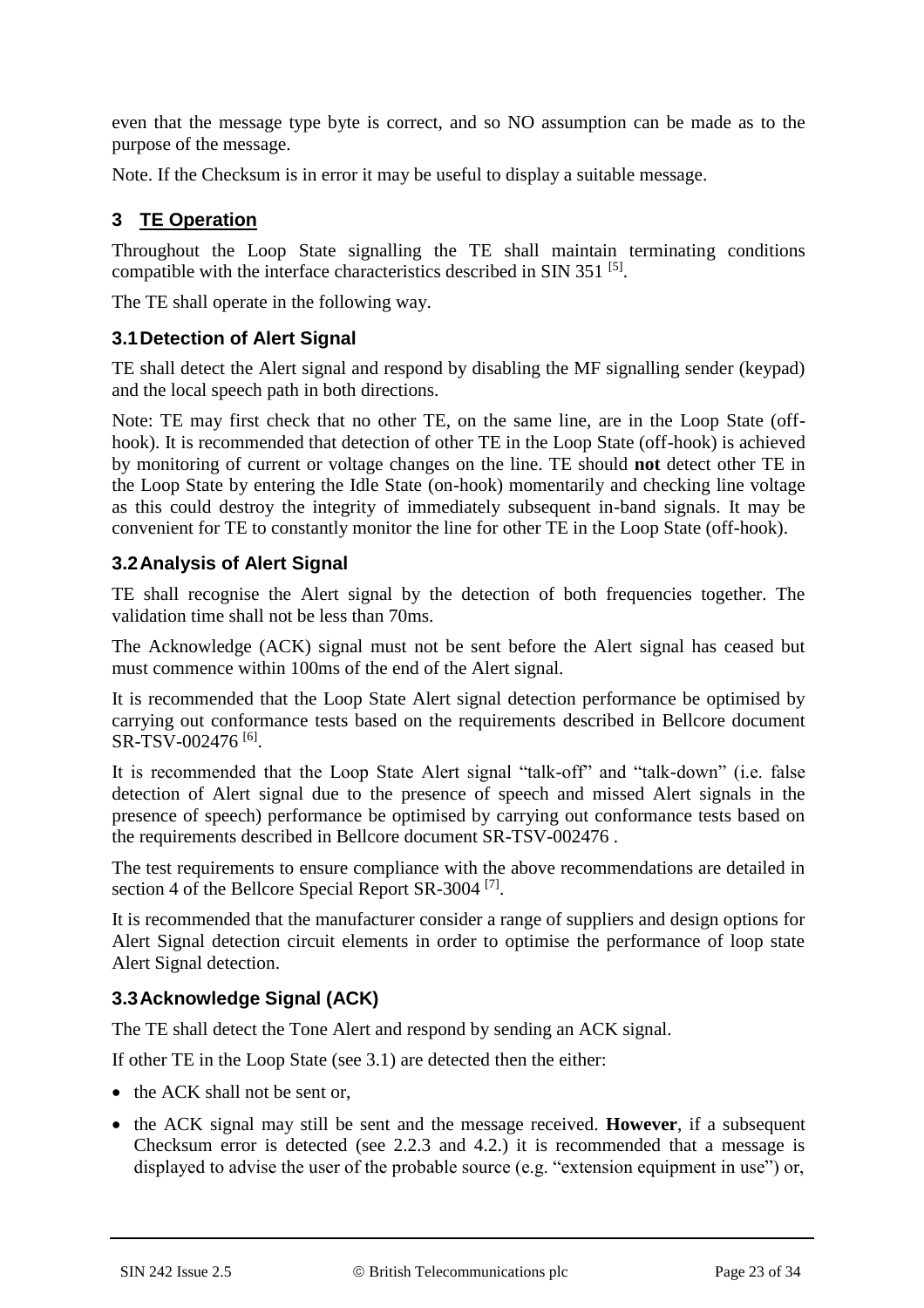even that the message type byte is correct, and so NO assumption can be made as to the purpose of the message.

Note. If the Checksum is in error it may be useful to display a suitable message.

## **3 TE Operation**

Throughout the Loop State signalling the TE shall maintain terminating conditions compatible with the interface characteristics described in SIN 351<sup>[5]</sup>.

The TE shall operate in the following way.

### **3.1Detection of Alert Signal**

TE shall detect the Alert signal and respond by disabling the MF signalling sender (keypad) and the local speech path in both directions.

Note: TE may first check that no other TE, on the same line, are in the Loop State (offhook). It is recommended that detection of other TE in the Loop State (off-hook) is achieved by monitoring of current or voltage changes on the line. TE should **not** detect other TE in the Loop State by entering the Idle State (on-hook) momentarily and checking line voltage as this could destroy the integrity of immediately subsequent in-band signals. It may be convenient for TE to constantly monitor the line for other TE in the Loop State (off-hook).

### **3.2Analysis of Alert Signal**

TE shall recognise the Alert signal by the detection of both frequencies together. The validation time shall not be less than 70ms.

The Acknowledge (ACK) signal must not be sent before the Alert signal has ceased but must commence within 100ms of the end of the Alert signal.

It is recommended that the Loop State Alert signal detection performance be optimised by carrying out conformance tests based on the requirements described in Bellcore document SR-TSV-002476<sup>[6]</sup>.

It is recommended that the Loop State Alert signal "talk-off" and "talk-down" (i.e. false detection of Alert signal due to the presence of speech and missed Alert signals in the presence of speech) performance be optimised by carrying out conformance tests based on the requirements described in Bellcore document SR-TSV-002476 .

The test requirements to ensure compliance with the above recommendations are detailed in section 4 of the Bellcore Special Report SR-3004<sup>[7]</sup>.

It is recommended that the manufacturer consider a range of suppliers and design options for Alert Signal detection circuit elements in order to optimise the performance of loop state Alert Signal detection.

## **3.3Acknowledge Signal (ACK)**

The TE shall detect the Tone Alert and respond by sending an ACK signal.

If other TE in the Loop State (see 3.1) are detected then the either:

- the ACK shall not be sent or,
- the ACK signal may still be sent and the message received. **However**, if a subsequent Checksum error is detected (see 2.2.3 and 4.2.) it is recommended that a message is displayed to advise the user of the probable source (e.g. "extension equipment in use") or,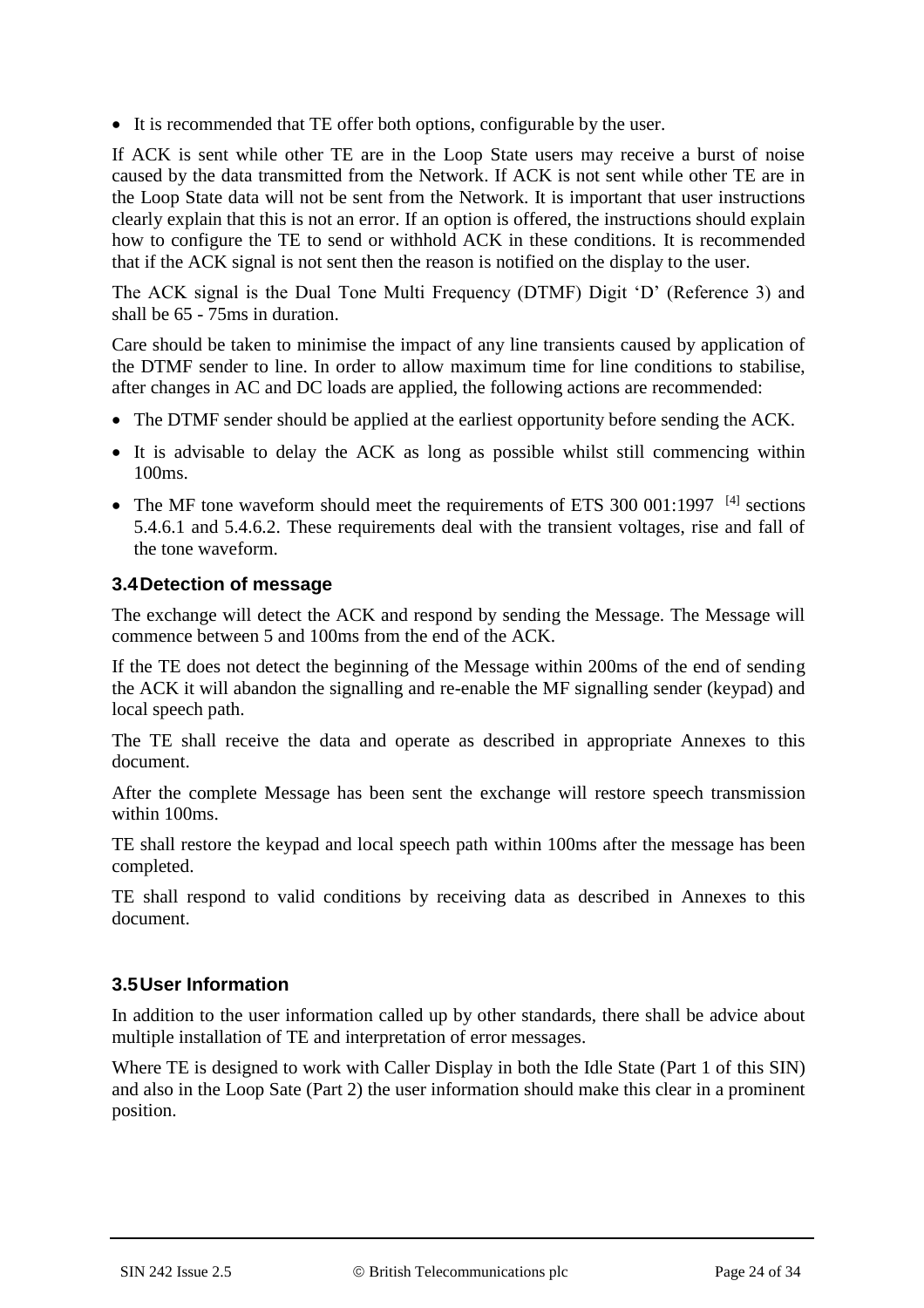It is recommended that TE offer both options, configurable by the user.

If ACK is sent while other TE are in the Loop State users may receive a burst of noise caused by the data transmitted from the Network. If ACK is not sent while other TE are in the Loop State data will not be sent from the Network. It is important that user instructions clearly explain that this is not an error. If an option is offered, the instructions should explain how to configure the TE to send or withhold ACK in these conditions. It is recommended that if the ACK signal is not sent then the reason is notified on the display to the user.

The ACK signal is the Dual Tone Multi Frequency (DTMF) Digit 'D' (Reference 3) and shall be 65 - 75ms in duration.

Care should be taken to minimise the impact of any line transients caused by application of the DTMF sender to line. In order to allow maximum time for line conditions to stabilise, after changes in AC and DC loads are applied, the following actions are recommended:

- The DTMF sender should be applied at the earliest opportunity before sending the ACK.
- It is advisable to delay the ACK as long as possible whilst still commencing within 100ms.
- The MF tone waveform should meet the requirements of ETS 300 001:1997  $^{[4]}$  sections 5.4.6.1 and 5.4.6.2. These requirements deal with the transient voltages, rise and fall of the tone waveform.

### **3.4Detection of message**

The exchange will detect the ACK and respond by sending the Message. The Message will commence between 5 and 100ms from the end of the ACK.

If the TE does not detect the beginning of the Message within 200ms of the end of sending the ACK it will abandon the signalling and re-enable the MF signalling sender (keypad) and local speech path.

The TE shall receive the data and operate as described in appropriate Annexes to this document.

After the complete Message has been sent the exchange will restore speech transmission within 100ms.

TE shall restore the keypad and local speech path within 100ms after the message has been completed.

TE shall respond to valid conditions by receiving data as described in Annexes to this document.

### **3.5User Information**

In addition to the user information called up by other standards, there shall be advice about multiple installation of TE and interpretation of error messages.

Where TE is designed to work with Caller Display in both the Idle State (Part 1 of this SIN) and also in the Loop Sate (Part 2) the user information should make this clear in a prominent position.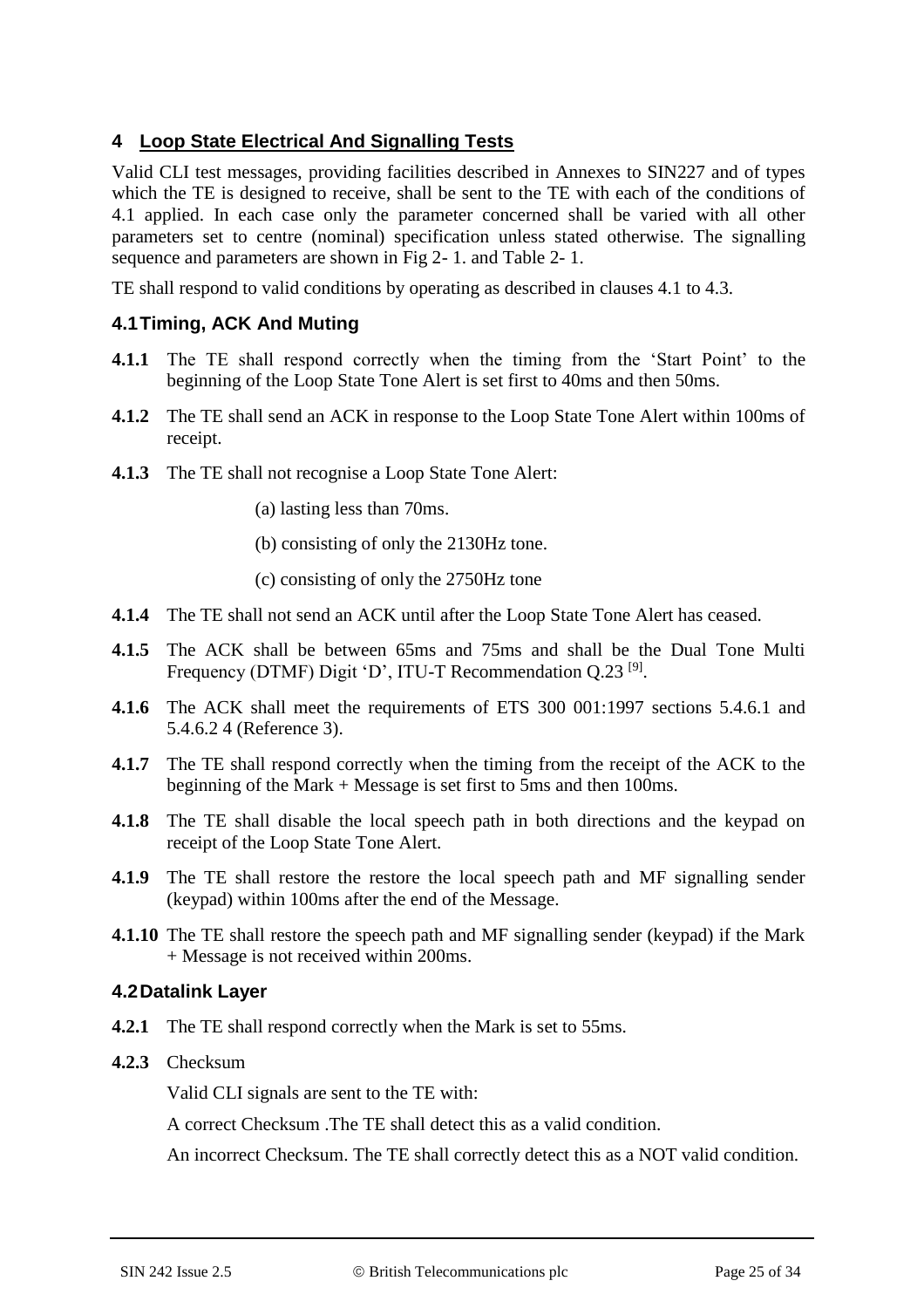## **4 Loop State Electrical And Signalling Tests**

Valid CLI test messages, providing facilities described in Annexes to SIN227 and of types which the TE is designed to receive, shall be sent to the TE with each of the conditions of 4.1 applied. In each case only the parameter concerned shall be varied with all other parameters set to centre (nominal) specification unless stated otherwise. The signalling sequence and parameters are shown in Fig 2- 1. and Table 2- 1.

TE shall respond to valid conditions by operating as described in clauses 4.1 to 4.3.

### **4.1Timing, ACK And Muting**

- **4.1.1** The TE shall respond correctly when the timing from the 'Start Point' to the beginning of the Loop State Tone Alert is set first to 40ms and then 50ms.
- **4.1.2** The TE shall send an ACK in response to the Loop State Tone Alert within 100ms of receipt.
- **4.1.3** The TE shall not recognise a Loop State Tone Alert:
	- (a) lasting less than 70ms.
	- (b) consisting of only the 2130Hz tone.
	- (c) consisting of only the 2750Hz tone
- **4.1.4** The TE shall not send an ACK until after the Loop State Tone Alert has ceased.
- **4.1.5** The ACK shall be between 65ms and 75ms and shall be the Dual Tone Multi Frequency (DTMF) Digit 'D', ITU-T Recommendation Q.23<sup>[9]</sup>.
- **4.1.6** The ACK shall meet the requirements of ETS 300 001:1997 sections 5.4.6.1 and 5.4.6.2 4 (Reference 3).
- **4.1.7** The TE shall respond correctly when the timing from the receipt of the ACK to the beginning of the Mark + Message is set first to 5ms and then 100ms.
- **4.1.8** The TE shall disable the local speech path in both directions and the keypad on receipt of the Loop State Tone Alert.
- **4.1.9** The TE shall restore the restore the local speech path and MF signalling sender (keypad) within 100ms after the end of the Message.
- **4.1.10** The TE shall restore the speech path and MF signalling sender (keypad) if the Mark + Message is not received within 200ms.

### **4.2Datalink Layer**

- **4.2.1** The TE shall respond correctly when the Mark is set to 55ms.
- **4.2.3** Checksum

Valid CLI signals are sent to the TE with:

A correct Checksum .The TE shall detect this as a valid condition.

An incorrect Checksum. The TE shall correctly detect this as a NOT valid condition.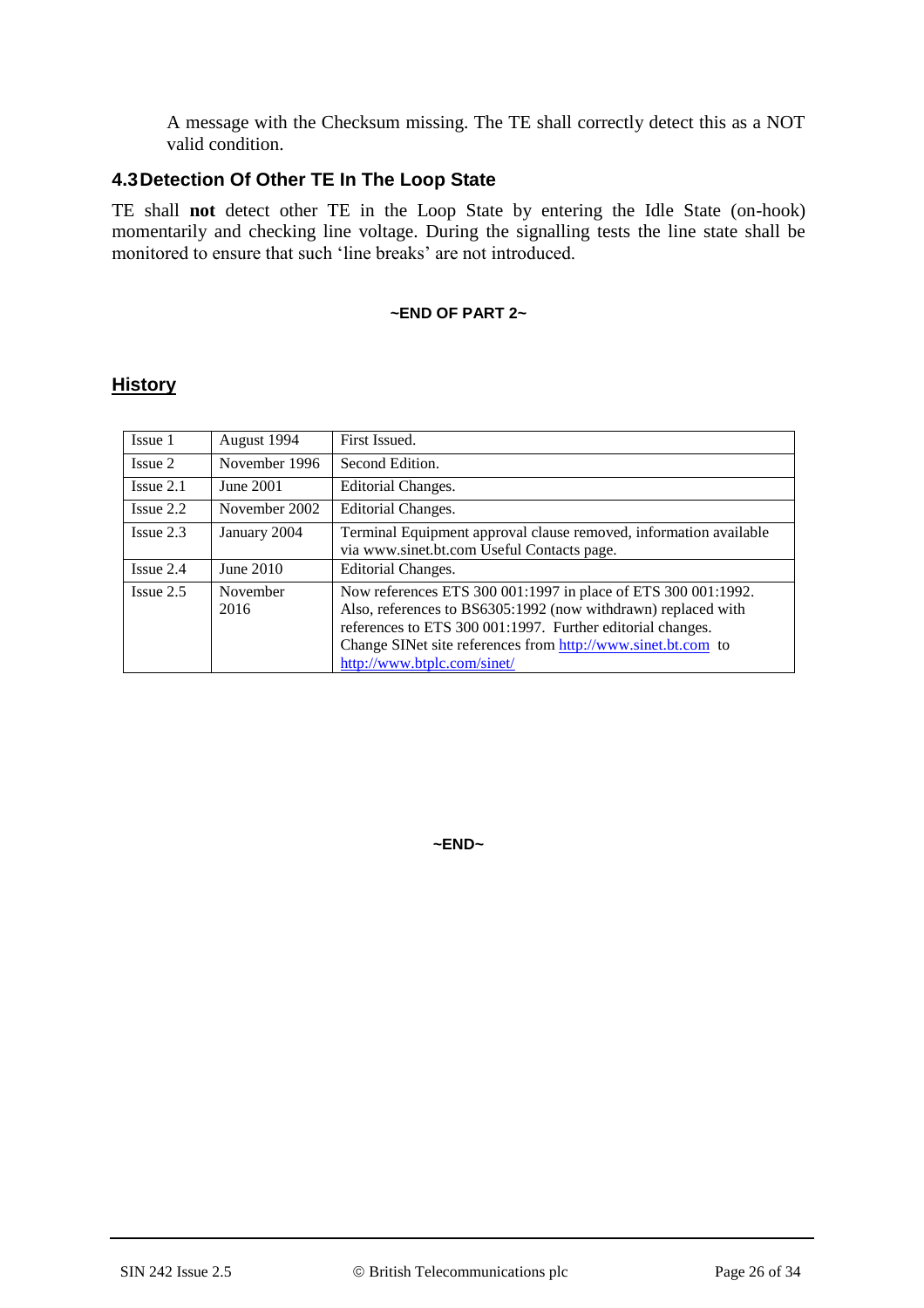A message with the Checksum missing. The TE shall correctly detect this as a NOT valid condition.

### **4.3Detection Of Other TE In The Loop State**

TE shall **not** detect other TE in the Loop State by entering the Idle State (on-hook) momentarily and checking line voltage. During the signalling tests the line state shall be monitored to ensure that such 'line breaks' are not introduced.

#### **~END OF PART 2~**

### **History**

| Issue 1        | August 1994      | First Issued.                                                                                                                                                                                                                                                                               |
|----------------|------------------|---------------------------------------------------------------------------------------------------------------------------------------------------------------------------------------------------------------------------------------------------------------------------------------------|
| Issue 2        | November 1996    | Second Edition.                                                                                                                                                                                                                                                                             |
| $I$ ssue $2.1$ | June 2001        | Editorial Changes.                                                                                                                                                                                                                                                                          |
| $I$ ssue $2.2$ | November 2002    | Editorial Changes.                                                                                                                                                                                                                                                                          |
| $I$ ssue 2.3   | January 2004     | Terminal Equipment approval clause removed, information available<br>via www.sinet.bt.com Useful Contacts page.                                                                                                                                                                             |
| $I$ ssue 2.4   | June 2010        | Editorial Changes.                                                                                                                                                                                                                                                                          |
| $I$ ssue $2.5$ | November<br>2016 | Now references ETS 300 001:1997 in place of ETS 300 001:1992.<br>Also, references to BS6305:1992 (now withdrawn) replaced with<br>references to ETS 300 001:1997. Further editorial changes.<br>Change SINet site references from http://www.sinet.bt.com to<br>http://www.btplc.com/sinet/ |

**~END~**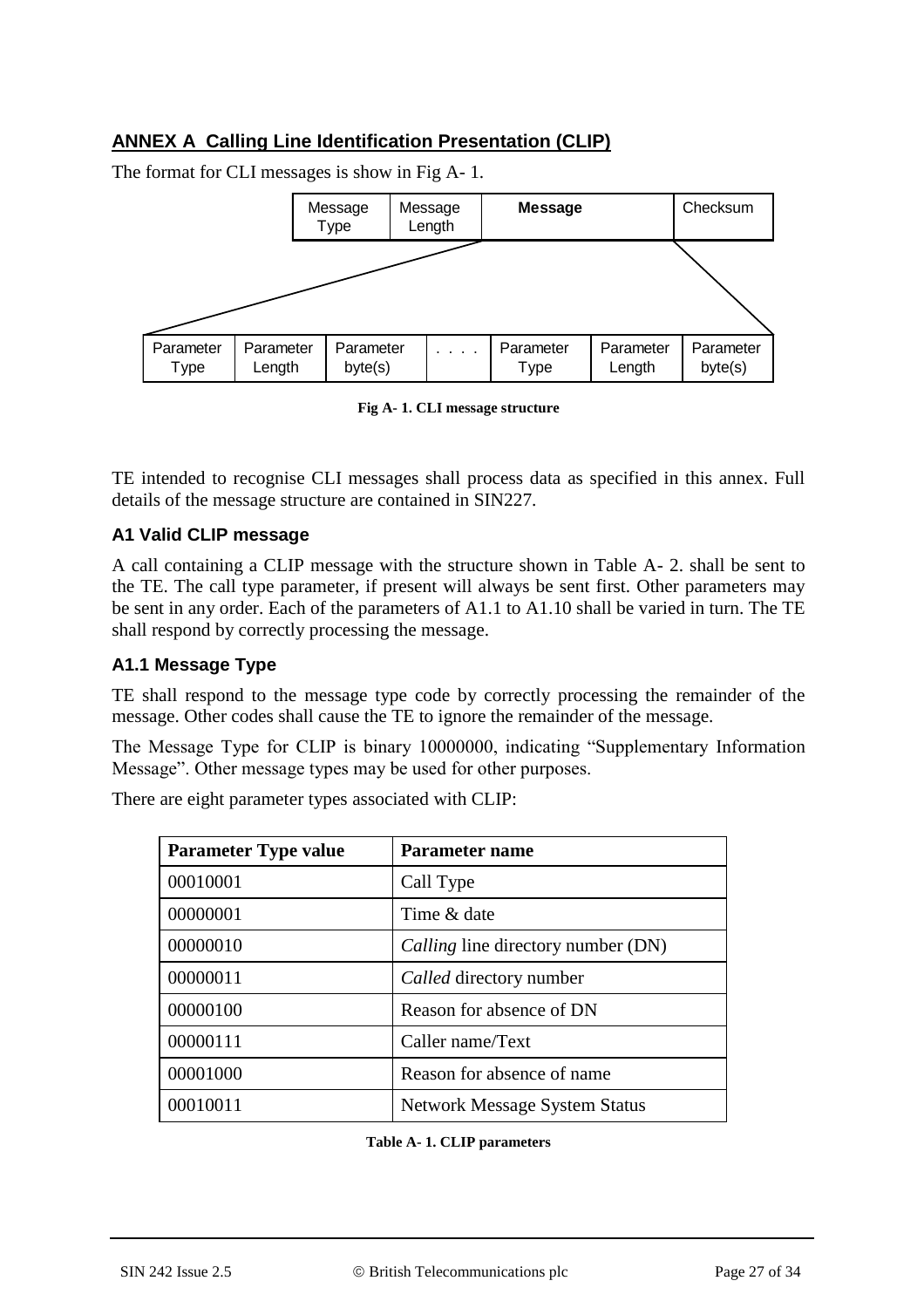## **ANNEX A Calling Line Identification Presentation (CLIP)**

Message Type Message Length **Message** | Checksum Parameter Type Parameter Length Parameter byte(s) . . . . Parameter Type Parameter **Length** Parameter byte(s)

The format for CLI messages is show in Fig A- 1.

**Fig A- 1. CLI message structure**

TE intended to recognise CLI messages shall process data as specified in this annex. Full details of the message structure are contained in SIN227.

#### **A1 Valid CLIP message**

A call containing a CLIP message with the structure shown in Table A- 2. shall be sent to the TE. The call type parameter, if present will always be sent first. Other parameters may be sent in any order. Each of the parameters of A1.1 to A1.10 shall be varied in turn. The TE shall respond by correctly processing the message.

#### **A1.1 Message Type**

TE shall respond to the message type code by correctly processing the remainder of the message. Other codes shall cause the TE to ignore the remainder of the message.

The Message Type for CLIP is binary 10000000, indicating "Supplementary Information Message". Other message types may be used for other purposes.

There are eight parameter types associated with CLIP:

| <b>Parameter Type value</b> | <b>Parameter name</b>                |
|-----------------------------|--------------------------------------|
| 00010001                    | Call Type                            |
| 00000001                    | Time & date                          |
| 00000010                    | Calling line directory number (DN)   |
| 00000011                    | Called directory number              |
| 00000100                    | Reason for absence of DN             |
| 00000111                    | Caller name/Text                     |
| 00001000                    | Reason for absence of name           |
| 00010011                    | <b>Network Message System Status</b> |

**Table A- 1. CLIP parameters**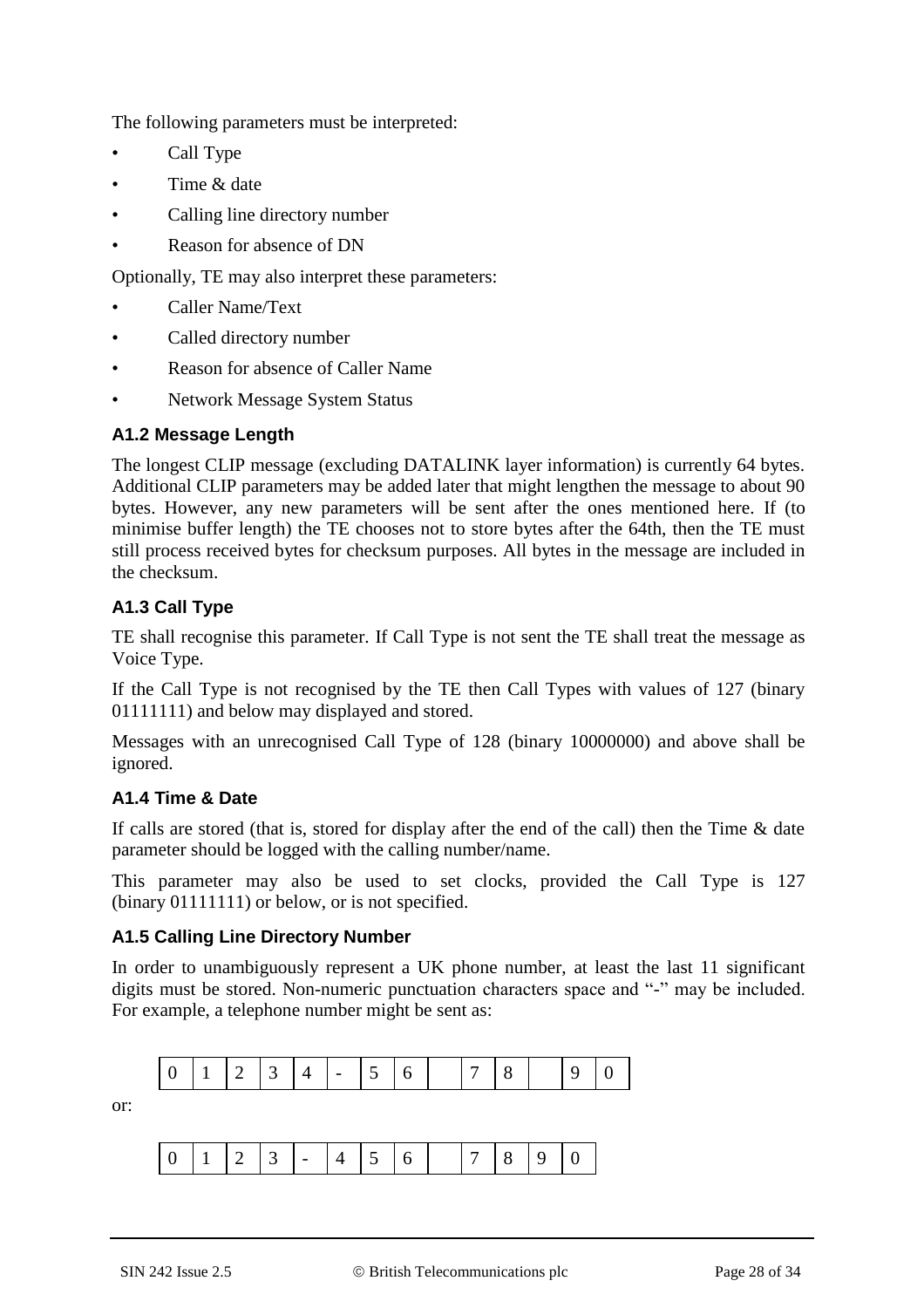The following parameters must be interpreted:

- Call Type
- Time & date
- Calling line directory number
- Reason for absence of DN

Optionally, TE may also interpret these parameters:

- Caller Name/Text
- Called directory number
- Reason for absence of Caller Name
- Network Message System Status

### **A1.2 Message Length**

The longest CLIP message (excluding DATALINK layer information) is currently 64 bytes. Additional CLIP parameters may be added later that might lengthen the message to about 90 bytes. However, any new parameters will be sent after the ones mentioned here. If (to minimise buffer length) the TE chooses not to store bytes after the 64th, then the TE must still process received bytes for checksum purposes. All bytes in the message are included in the checksum.

### **A1.3 Call Type**

TE shall recognise this parameter. If Call Type is not sent the TE shall treat the message as Voice Type.

If the Call Type is not recognised by the TE then Call Types with values of 127 (binary 01111111) and below may displayed and stored.

Messages with an unrecognised Call Type of 128 (binary 10000000) and above shall be ignored.

### **A1.4 Time & Date**

If calls are stored (that is, stored for display after the end of the call) then the Time  $\&$  date parameter should be logged with the calling number/name.

This parameter may also be used to set clocks, provided the Call Type is 127 (binary 01111111) or below, or is not specified.

#### **A1.5 Calling Line Directory Number**

In order to unambiguously represent a UK phone number, at least the last 11 significant digits must be stored. Non-numeric punctuation characters space and "-" may be included. For example, a telephone number might be sent as:

| the control of the control of the<br>$\binom{1}{1}$   1   2   3   4   -   5   6<br>$\mathbf Q$ |  |
|------------------------------------------------------------------------------------------------|--|
|------------------------------------------------------------------------------------------------|--|

or:

| $\vert \leq \vert$ $\vert$ 7   $\delta$<br>$9$ 1   2   3   -   4   5 |
|----------------------------------------------------------------------|
|----------------------------------------------------------------------|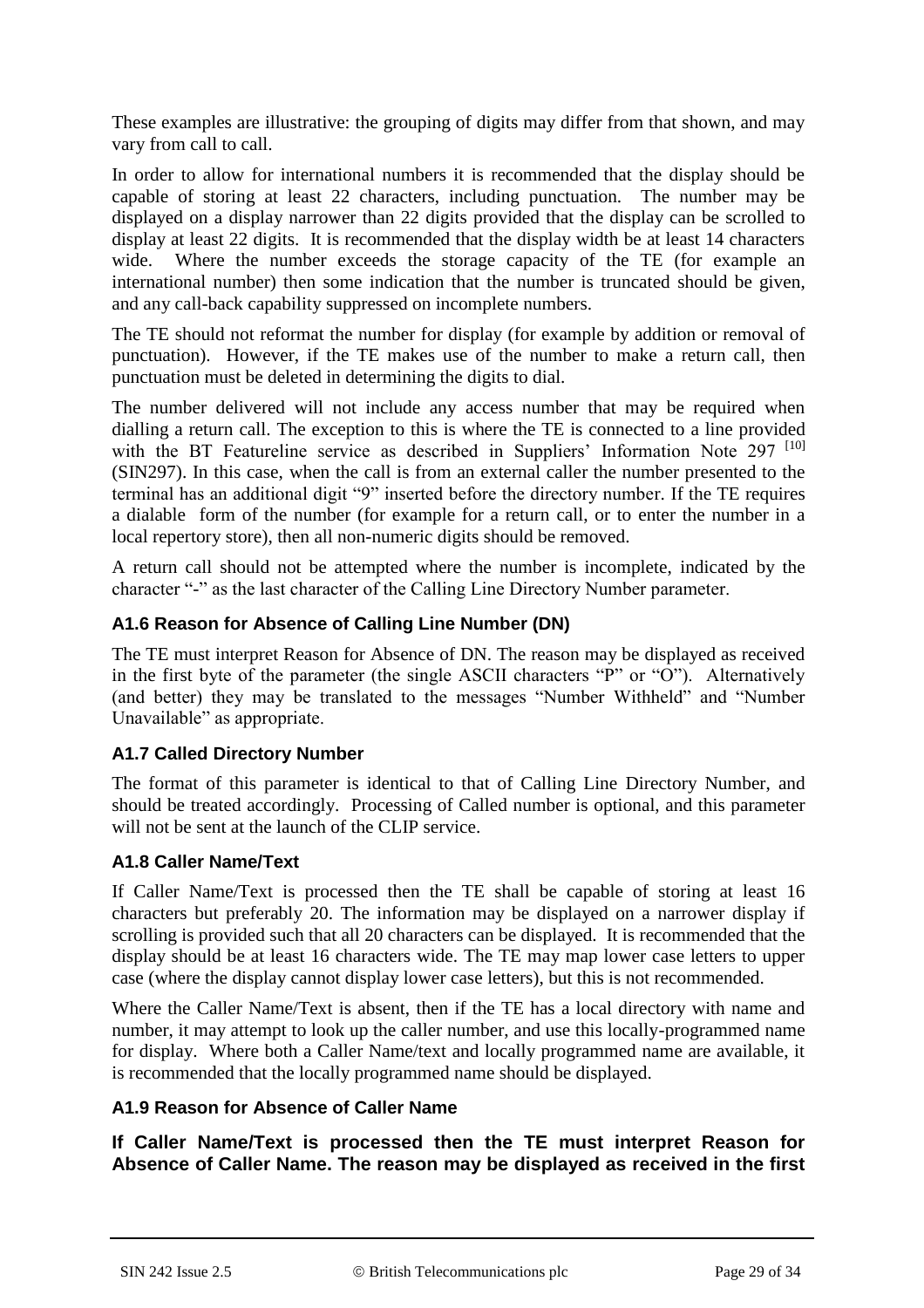These examples are illustrative: the grouping of digits may differ from that shown, and may vary from call to call.

In order to allow for international numbers it is recommended that the display should be capable of storing at least 22 characters, including punctuation. The number may be displayed on a display narrower than 22 digits provided that the display can be scrolled to display at least 22 digits. It is recommended that the display width be at least 14 characters wide. Where the number exceeds the storage capacity of the TE (for example an international number) then some indication that the number is truncated should be given, and any call-back capability suppressed on incomplete numbers.

The TE should not reformat the number for display (for example by addition or removal of punctuation). However, if the TE makes use of the number to make a return call, then punctuation must be deleted in determining the digits to dial.

The number delivered will not include any access number that may be required when dialling a return call. The exception to this is where the TE is connected to a line provided with the BT Featureline service as described in Suppliers' Information Note 297 <sup>[10]</sup> (SIN297). In this case, when the call is from an external caller the number presented to the terminal has an additional digit "9" inserted before the directory number. If the TE requires a dialable form of the number (for example for a return call, or to enter the number in a local repertory store), then all non-numeric digits should be removed.

A return call should not be attempted where the number is incomplete, indicated by the character "-" as the last character of the Calling Line Directory Number parameter.

### **A1.6 Reason for Absence of Calling Line Number (DN)**

The TE must interpret Reason for Absence of DN. The reason may be displayed as received in the first byte of the parameter (the single ASCII characters "P" or "O"). Alternatively (and better) they may be translated to the messages "Number Withheld" and "Number Unavailable" as appropriate.

### **A1.7 Called Directory Number**

The format of this parameter is identical to that of Calling Line Directory Number, and should be treated accordingly. Processing of Called number is optional, and this parameter will not be sent at the launch of the CLIP service.

### **A1.8 Caller Name/Text**

If Caller Name/Text is processed then the TE shall be capable of storing at least 16 characters but preferably 20. The information may be displayed on a narrower display if scrolling is provided such that all 20 characters can be displayed. It is recommended that the display should be at least 16 characters wide. The TE may map lower case letters to upper case (where the display cannot display lower case letters), but this is not recommended.

Where the Caller Name/Text is absent, then if the TE has a local directory with name and number, it may attempt to look up the caller number, and use this locally-programmed name for display. Where both a Caller Name/text and locally programmed name are available, it is recommended that the locally programmed name should be displayed.

### **A1.9 Reason for Absence of Caller Name**

**If Caller Name/Text is processed then the TE must interpret Reason for Absence of Caller Name. The reason may be displayed as received in the first**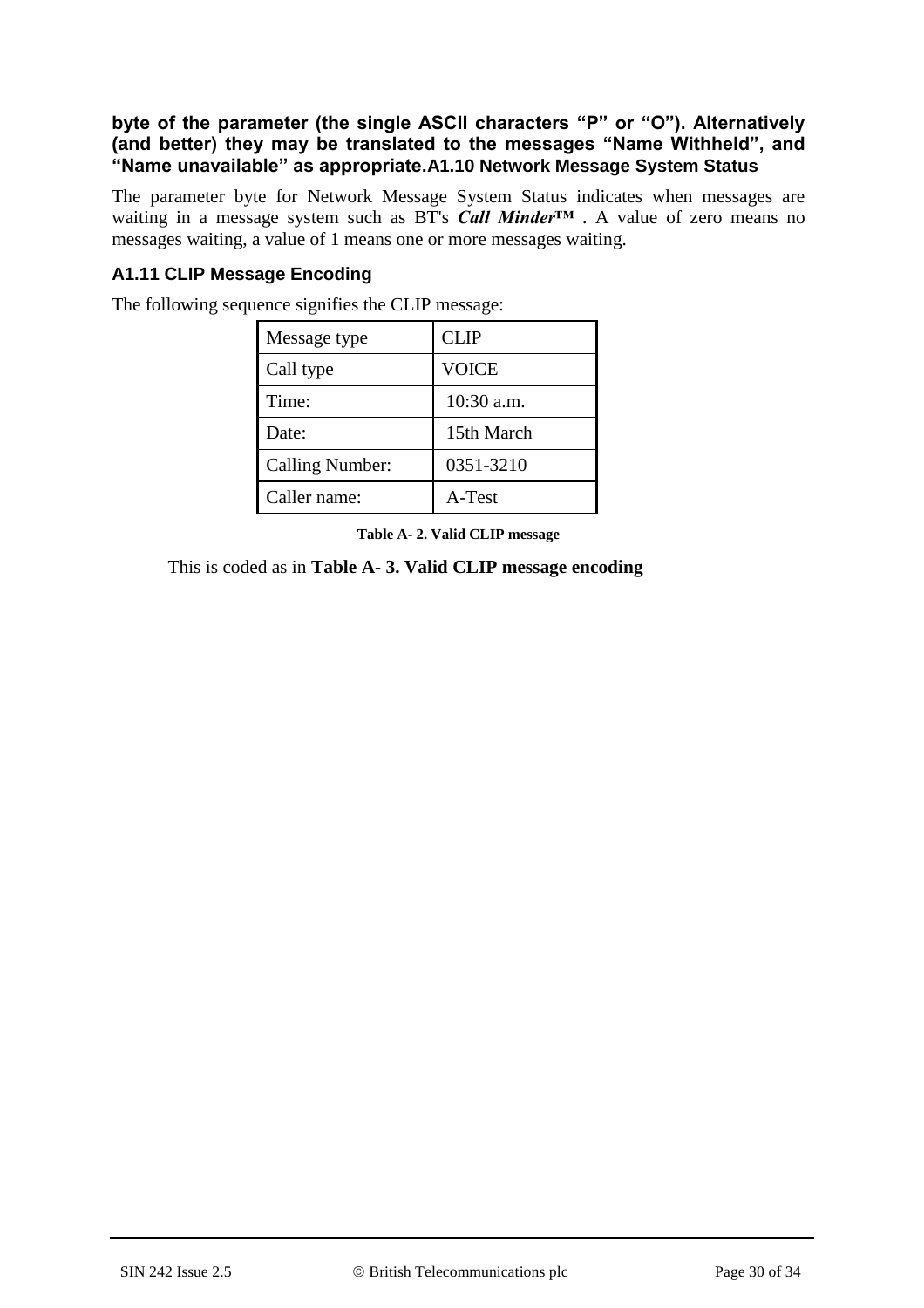### **byte of the parameter (the single ASCII characters "P" or "O"). Alternatively (and better) they may be translated to the messages "Name Withheld", and "Name unavailable" as appropriate.A1.10 Network Message System Status**

The parameter byte for Network Message System Status indicates when messages are waiting in a message system such as BT's *Call Minder™* . A value of zero means no messages waiting, a value of 1 means one or more messages waiting.

## **A1.11 CLIP Message Encoding**

| Message type           | <b>CLIP</b>  |
|------------------------|--------------|
| Call type              | <b>VOICE</b> |
| Time:                  | $10:30$ a.m. |
| Date:                  | 15th March   |
| <b>Calling Number:</b> | 0351-3210    |
| Caller name:           | A-Test       |

The following sequence signifies the CLIP message:

**Table A- 2. Valid CLIP message**

This is coded as in **Table A- 3. Valid CLIP message encoding**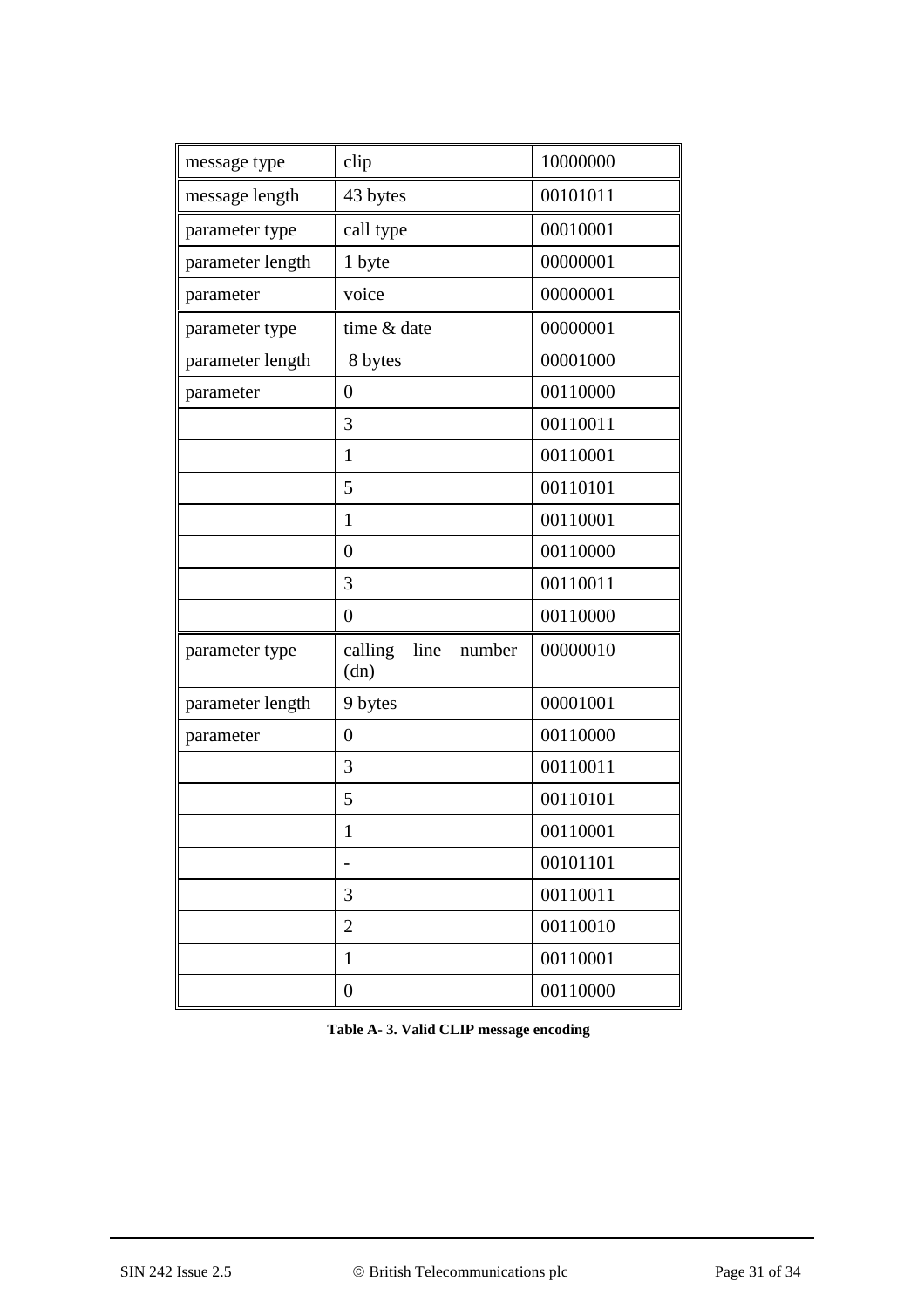| clip                              | 10000000 |
|-----------------------------------|----------|
| 43 bytes                          | 00101011 |
| call type                         | 00010001 |
| 1 byte                            | 00000001 |
| voice                             | 00000001 |
| time & date                       | 00000001 |
| 8 bytes                           | 00001000 |
| $\overline{0}$                    | 00110000 |
| 3                                 | 00110011 |
| $\mathbf{1}$                      | 00110001 |
| 5                                 | 00110101 |
| $\mathbf{1}$                      | 00110001 |
| $\overline{0}$                    | 00110000 |
| 3                                 | 00110011 |
| $\overline{0}$                    | 00110000 |
| calling<br>line<br>number<br>(dn) | 00000010 |
| 9 bytes                           | 00001001 |
| $\overline{0}$                    | 00110000 |
| 3                                 | 00110011 |
| 5                                 | 00110101 |
| 1                                 | 00110001 |
|                                   | 00101101 |
| 3                                 | 00110011 |
| $\overline{2}$                    | 00110010 |
| $\mathbf{1}$                      | 00110001 |
| $\overline{0}$                    | 00110000 |
|                                   |          |

**Table A- 3. Valid CLIP message encoding**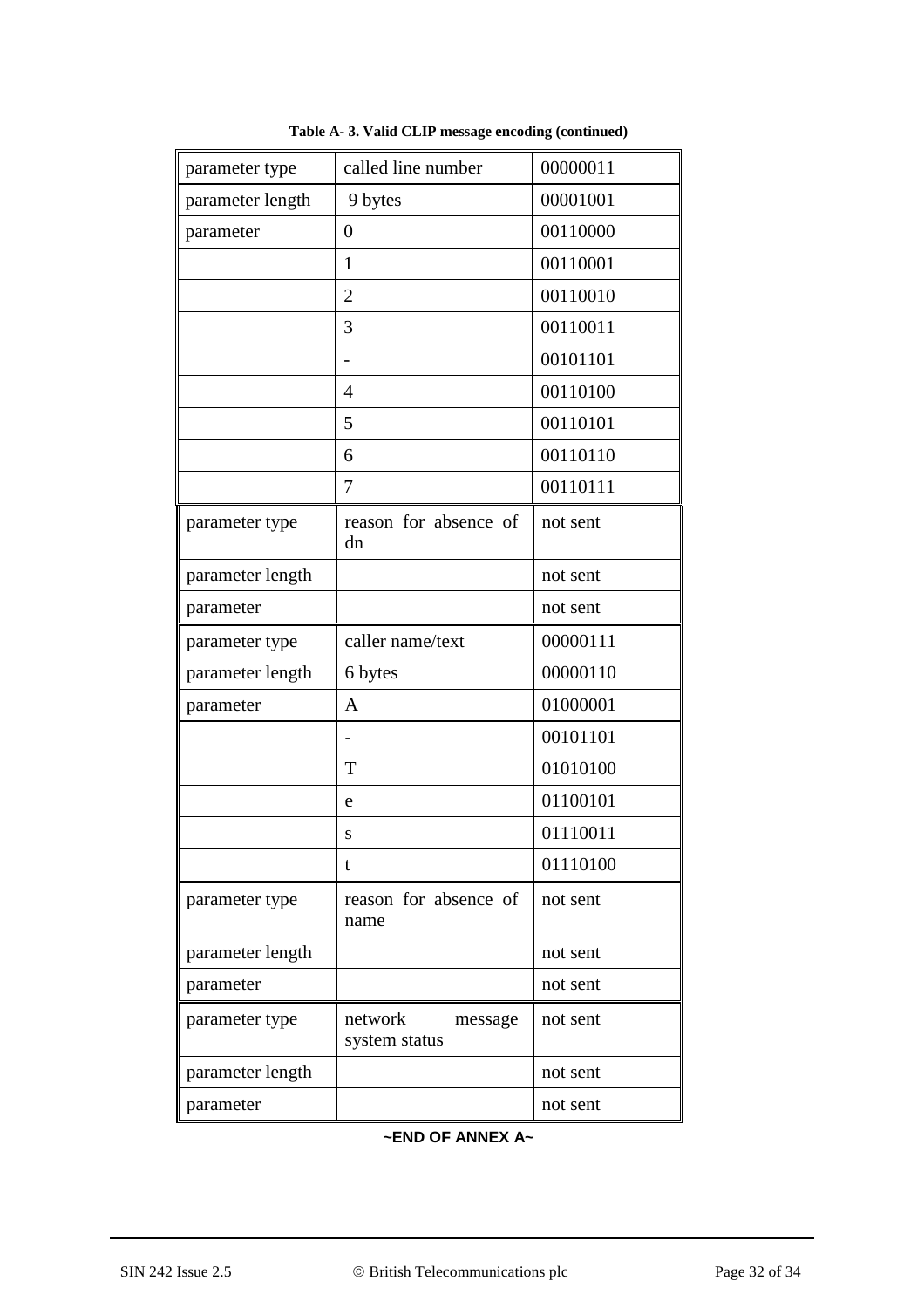| parameter type   | called line number                  | 00000011 |
|------------------|-------------------------------------|----------|
| parameter length | 9 bytes                             | 00001001 |
| parameter        | $\overline{0}$                      | 00110000 |
|                  | 1                                   | 00110001 |
|                  | $\overline{2}$                      | 00110010 |
|                  | 3                                   | 00110011 |
|                  |                                     | 00101101 |
|                  | $\overline{4}$                      | 00110100 |
|                  | 5                                   | 00110101 |
|                  | 6                                   | 00110110 |
|                  | 7                                   | 00110111 |
| parameter type   | reason for absence of<br>dn         | not sent |
| parameter length |                                     | not sent |
| parameter        |                                     | not sent |
| parameter type   | caller name/text                    | 00000111 |
| parameter length | 6 bytes                             | 00000110 |
| parameter        | A                                   | 01000001 |
|                  |                                     | 00101101 |
|                  | T                                   | 01010100 |
|                  | e                                   | 01100101 |
|                  | S                                   | 01110011 |
|                  | t                                   | 01110100 |
| parameter type   | reason for absence of<br>name       | not sent |
| parameter length |                                     | not sent |
| parameter        |                                     | not sent |
| parameter type   | network<br>message<br>system status | not sent |
| parameter length |                                     | not sent |
| parameter        |                                     | not sent |

**Table A- 3. Valid CLIP message encoding (continued)**

**~END OF ANNEX A~**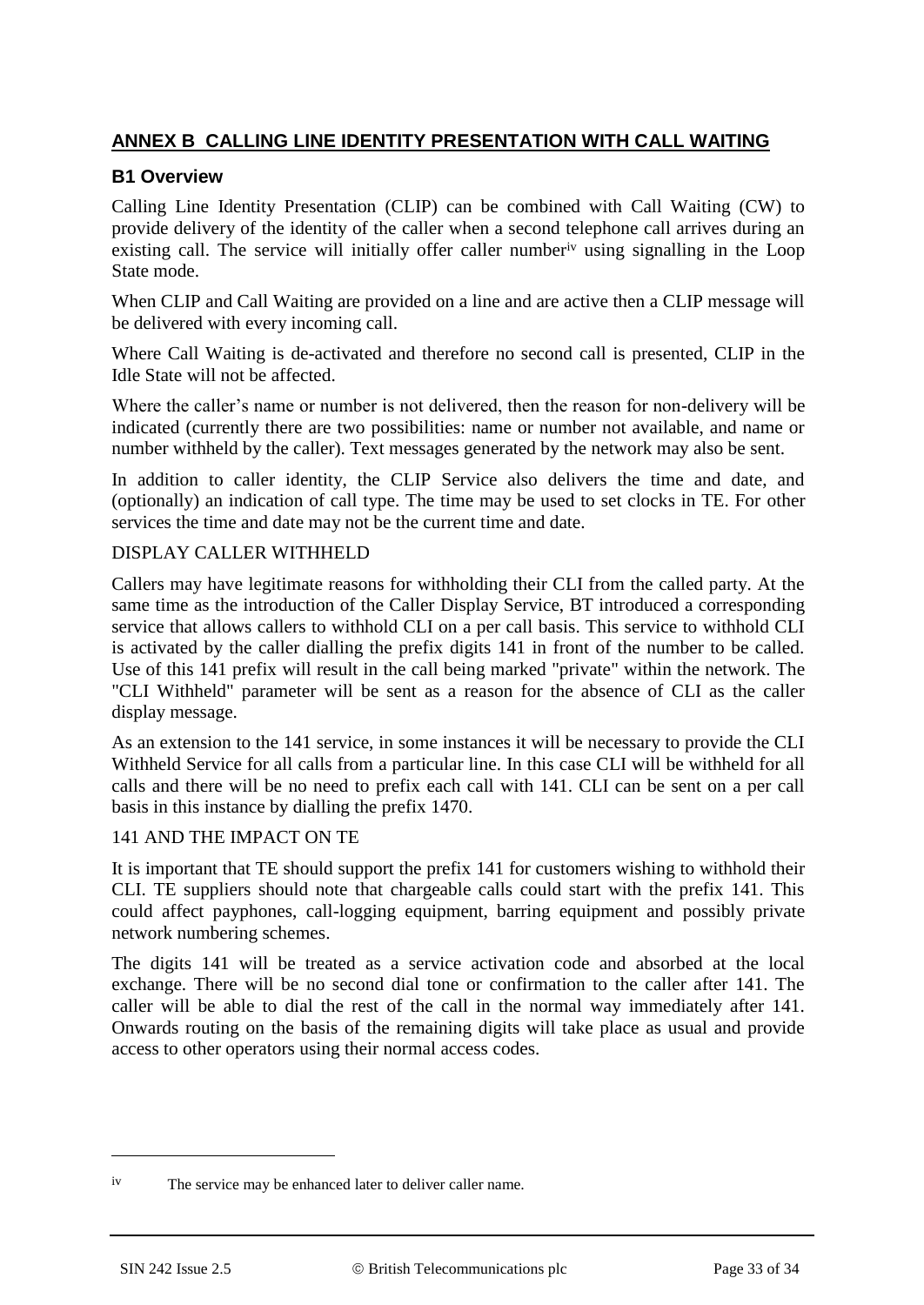## **ANNEX B CALLING LINE IDENTITY PRESENTATION WITH CALL WAITING**

### **B1 Overview**

Calling Line Identity Presentation (CLIP) can be combined with Call Waiting (CW) to provide delivery of the identity of the caller when a second telephone call arrives during an existing call. The service will initially offer caller numberiv using signalling in the Loop State mode.

When CLIP and Call Waiting are provided on a line and are active then a CLIP message will be delivered with every incoming call.

Where Call Waiting is de-activated and therefore no second call is presented, CLIP in the Idle State will not be affected.

Where the caller's name or number is not delivered, then the reason for non-delivery will be indicated (currently there are two possibilities: name or number not available, and name or number withheld by the caller). Text messages generated by the network may also be sent.

In addition to caller identity, the CLIP Service also delivers the time and date, and (optionally) an indication of call type. The time may be used to set clocks in TE. For other services the time and date may not be the current time and date.

#### DISPLAY CALLER WITHHELD

Callers may have legitimate reasons for withholding their CLI from the called party. At the same time as the introduction of the Caller Display Service, BT introduced a corresponding service that allows callers to withhold CLI on a per call basis. This service to withhold CLI is activated by the caller dialling the prefix digits 141 in front of the number to be called. Use of this 141 prefix will result in the call being marked "private" within the network. The "CLI Withheld" parameter will be sent as a reason for the absence of CLI as the caller display message.

As an extension to the 141 service, in some instances it will be necessary to provide the CLI Withheld Service for all calls from a particular line. In this case CLI will be withheld for all calls and there will be no need to prefix each call with 141. CLI can be sent on a per call basis in this instance by dialling the prefix 1470.

#### 141 AND THE IMPACT ON TE

It is important that TE should support the prefix 141 for customers wishing to withhold their CLI. TE suppliers should note that chargeable calls could start with the prefix 141. This could affect payphones, call-logging equipment, barring equipment and possibly private network numbering schemes.

The digits 141 will be treated as a service activation code and absorbed at the local exchange. There will be no second dial tone or confirmation to the caller after 141. The caller will be able to dial the rest of the call in the normal way immediately after 141. Onwards routing on the basis of the remaining digits will take place as usual and provide access to other operators using their normal access codes.

-

iv The service may be enhanced later to deliver caller name.